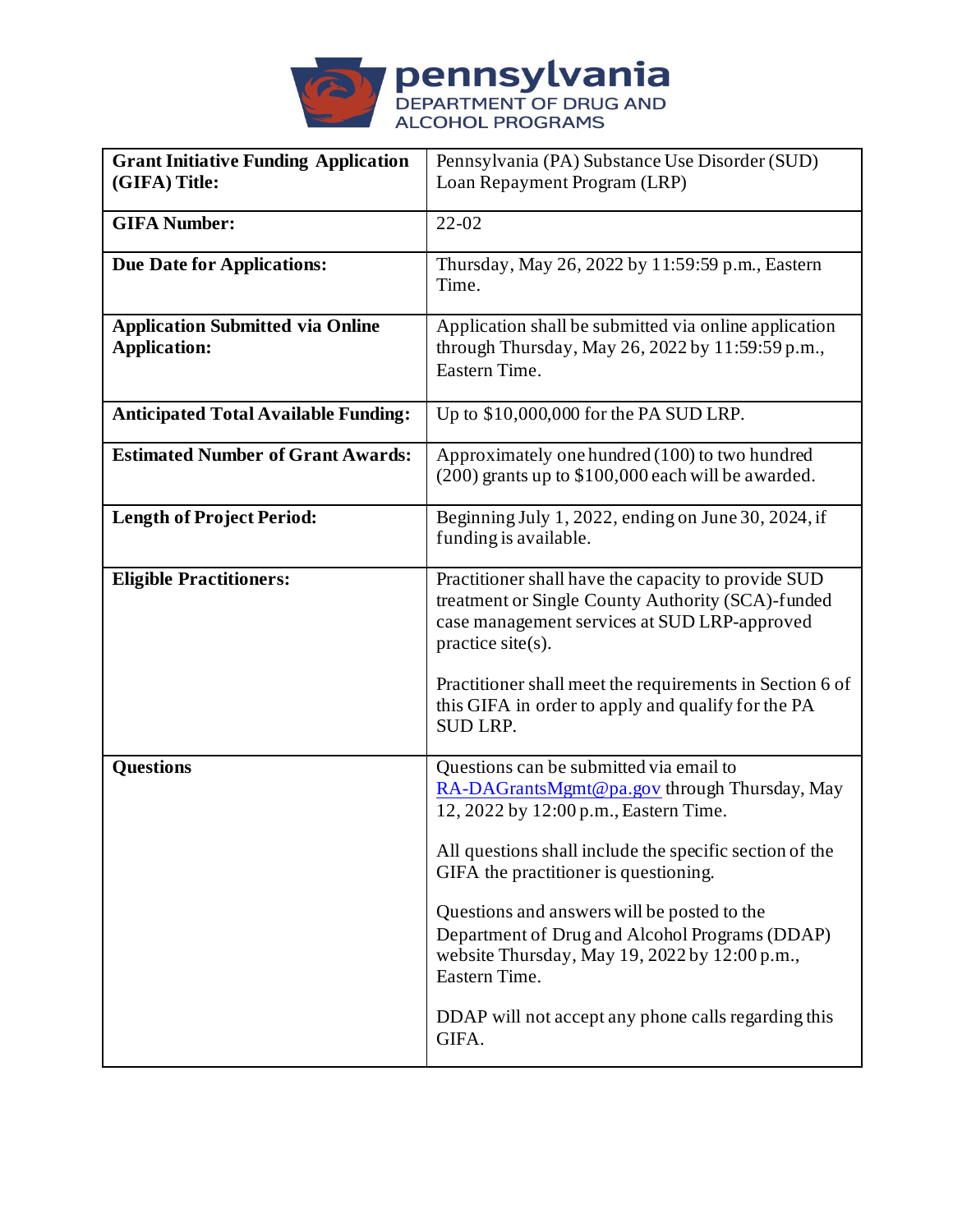

| <b>Grant Initiative Funding Application</b> | Pennsylvania (PA) Substance Use Disorder (SUD)           |
|---------------------------------------------|----------------------------------------------------------|
| (GIFA) Title:                               | Loan Repayment Program (LRP)                             |
|                                             |                                                          |
| <b>GIFA Number:</b>                         | $22 - 02$                                                |
|                                             |                                                          |
| <b>Due Date for Applications:</b>           | Thursday, May 26, 2022 by 11:59:59 p.m., Eastern         |
|                                             | Time.                                                    |
|                                             |                                                          |
| <b>Application Submitted via Online</b>     | Application shall be submitted via online application    |
| <b>Application:</b>                         | through Thursday, May 26, 2022 by 11:59:59 p.m.,         |
|                                             | Eastern Time.                                            |
|                                             |                                                          |
| <b>Anticipated Total Available Funding:</b> | Up to $$10,000,000$ for the PA SUD LRP.                  |
|                                             |                                                          |
| <b>Estimated Number of Grant Awards:</b>    | Approximately one hundred (100) to two hundred           |
|                                             | $(200)$ grants up to \$100,000 each will be awarded.     |
|                                             |                                                          |
| <b>Length of Project Period:</b>            | Beginning July 1, 2022, ending on June 30, 2024, if      |
|                                             | funding is available.                                    |
|                                             |                                                          |
| <b>Eligible Practitioners:</b>              | Practitioner shall have the capacity to provide SUD      |
|                                             | treatment or Single County Authority (SCA)-funded        |
|                                             | case management services at SUD LRP-approved             |
|                                             | practice site(s).                                        |
|                                             |                                                          |
|                                             | Practitioner shall meet the requirements in Section 6 of |
|                                             | this GIFA in order to apply and qualify for the PA       |
|                                             | <b>SUD LRP.</b>                                          |
|                                             |                                                          |
| <b>Questions</b>                            | Questions can be submitted via email to                  |
|                                             | RA-DAGrantsMgmt@pa.gov through Thursday, May             |
|                                             | 12, 2022 by 12:00 p.m., Eastern Time.                    |
|                                             |                                                          |
|                                             | All questions shall include the specific section of the  |
|                                             | GIFA the practitioner is questioning.                    |
|                                             |                                                          |
|                                             | Questions and answers will be posted to the              |
|                                             | Department of Drug and Alcohol Programs (DDAP)           |
|                                             | website Thursday, May 19, 2022 by 12:00 p.m.,            |
|                                             | Eastern Time.                                            |
|                                             |                                                          |
|                                             | DDAP will not accept any phone calls regarding this      |
|                                             | GIFA.                                                    |
|                                             |                                                          |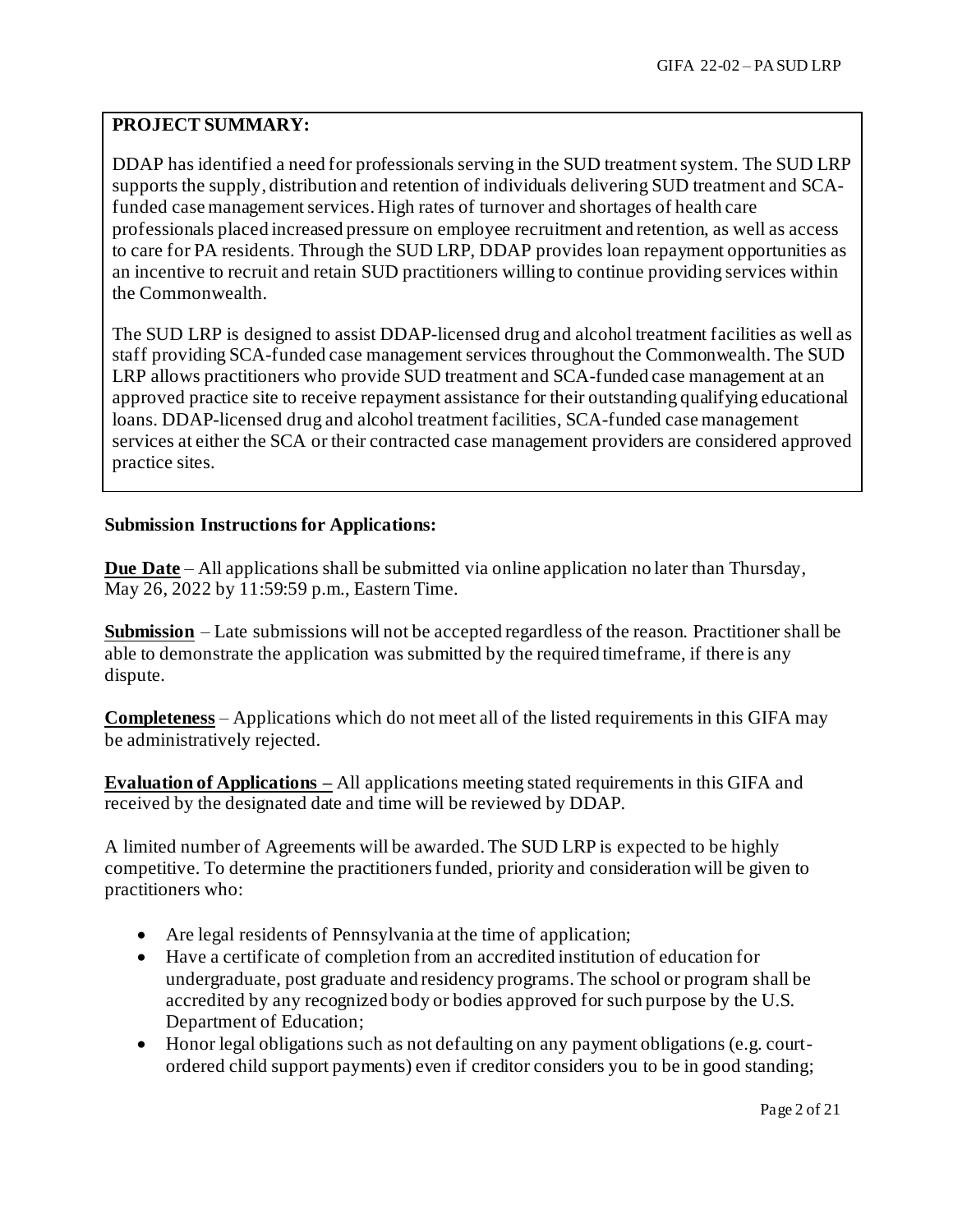# **PROJECT SUMMARY:**

DDAP has identified a need for professionals serving in the SUD treatment system. The SUD LRP supports the supply, distribution and retention of individuals delivering SUD treatment and SCAfunded case management services. High rates of turnover and shortages of health care professionals placed increased pressure on employee recruitment and retention, as well as access to care for PA residents. Through the SUD LRP, DDAP provides loan repayment opportunities as an incentive to recruit and retain SUD practitioners willing to continue providing services within the Commonwealth.

The SUD LRP is designed to assist DDAP-licensed drug and alcohol treatment facilities as well as staff providing SCA-funded case management services throughout the Commonwealth. The SUD LRP allows practitioners who provide SUD treatment and SCA-funded case management at an approved practice site to receive repayment assistance for their outstanding qualifying educational loans. DDAP-licensed drug and alcohol treatment facilities, SCA-funded case management services at either the SCA or their contracted case management providers are considered approved practice sites.

## **Submission Instructions for Applications:**

**Due Date** – All applications shall be submitted via online application no later than Thursday, May 26, 2022 by 11:59:59 p.m., Eastern Time.

**Submission** – Late submissions will not be accepted regardless of the reason. Practitioner shall be able to demonstrate the application was submitted by the required timeframe, if there is any dispute.

**Completeness** – Applications which do not meet all of the listed requirements in this GIFA may be administratively rejected.

**Evaluation of Applications –** All applications meeting stated requirements in this GIFA and received by the designated date and time will be reviewed by DDAP.

A limited number of Agreements will be awarded. The SUD LRP is expected to be highly competitive. To determine the practitioners funded, priority and consideration will be given to practitioners who:

- Are legal residents of Pennsylvania at the time of application;
- Have a certificate of completion from an accredited institution of education for undergraduate, post graduate and residency programs. The school or program shall be accredited by any recognized body or bodies approved for such purpose by the U.S. Department of Education;
- Honor legal obligations such as not defaulting on any payment obligations (e.g. courtordered child support payments) even if creditor considers you to be in good standing;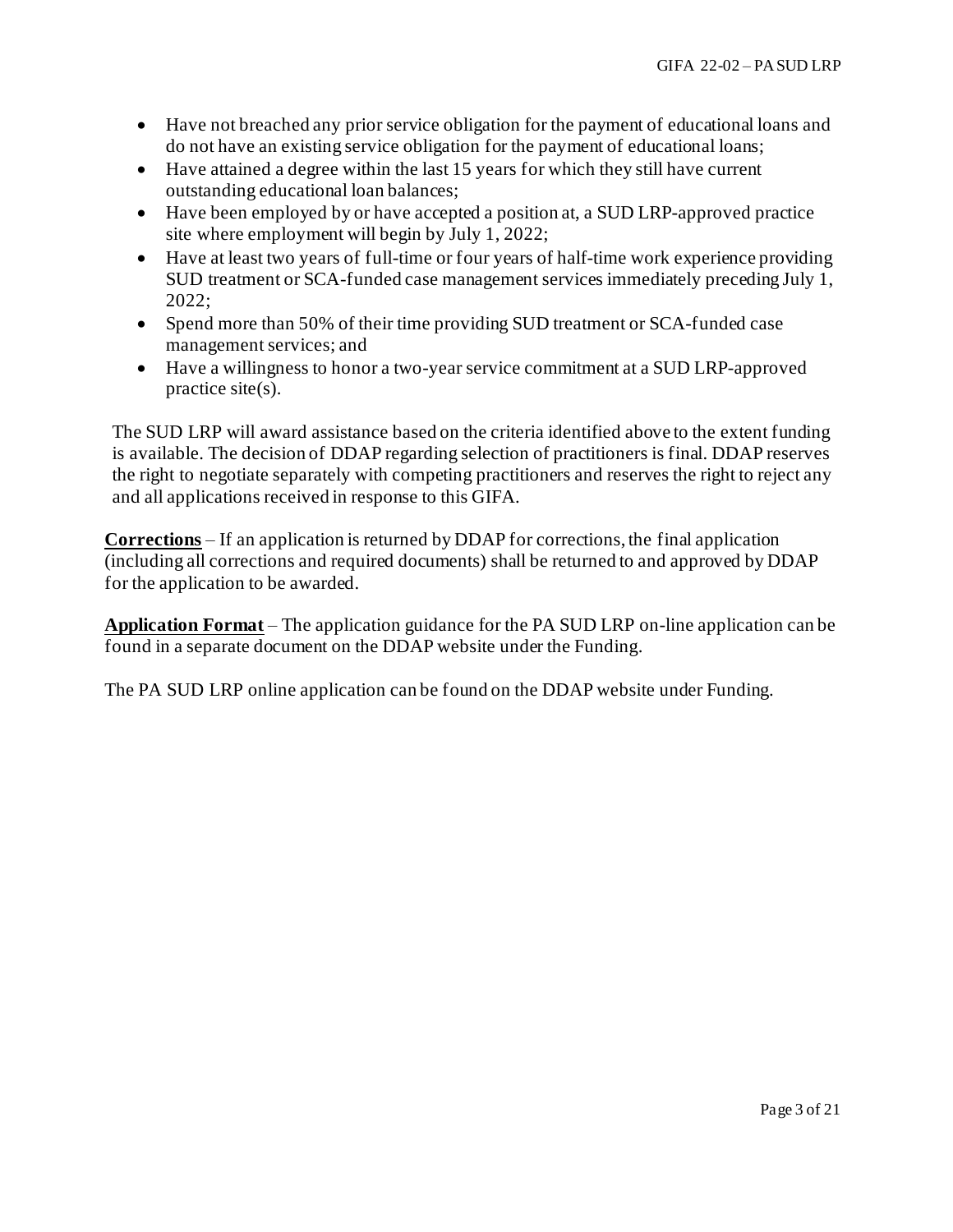- Have not breached any prior service obligation for the payment of educational loans and do not have an existing service obligation for the payment of educational loans;
- Have attained a degree within the last 15 years for which they still have current outstanding educational loan balances;
- Have been employed by or have accepted a position at, a SUD LRP-approved practice site where employment will begin by July 1, 2022;
- Have at least two years of full-time or four years of half-time work experience providing SUD treatment or SCA-funded case management services immediately preceding July 1, 2022;
- Spend more than 50% of their time providing SUD treatment or SCA-funded case management services; and
- Have a willingness to honor a two-year service commitment at a SUD LRP-approved practice site(s).

The SUD LRP will award assistance based on the criteria identified above to the extent funding is available. The decision of DDAP regarding selection of practitioners is final. DDAP reserves the right to negotiate separately with competing practitioners and reserves the right to reject any and all applications received in response to this GIFA.

**Corrections** – If an application is returned by DDAP for corrections, the final application (including all corrections and required documents) shall be returned to and approved by DDAP for the application to be awarded.

**Application Format** – The application guidance for the PA SUD LRP on-line application can be found in a separate document on the DDAP website under the Funding.

The PA SUD LRP online application can be found on the DDAP website under Funding.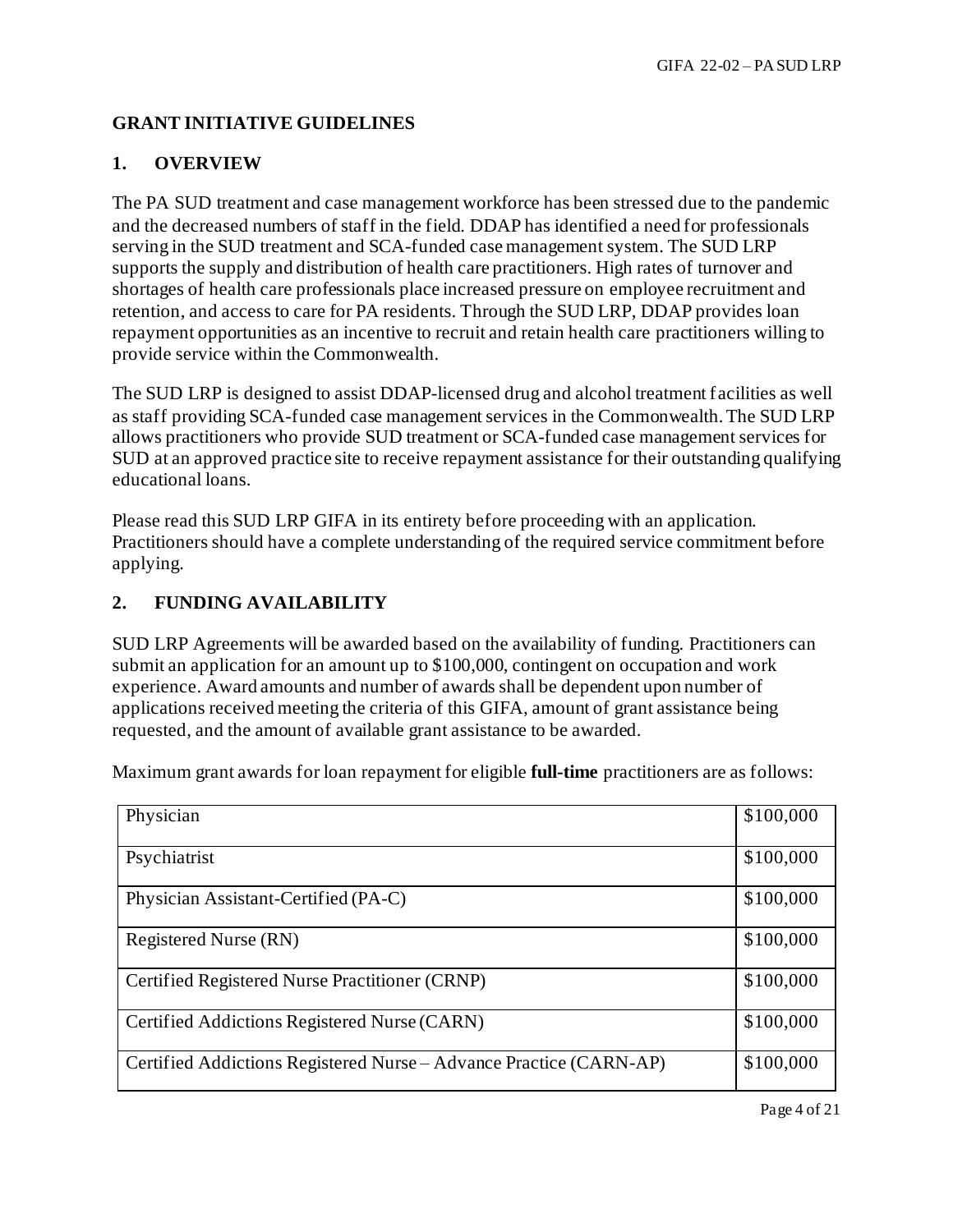# **GRANT INITIATIVE GUIDELINES**

# **1. OVERVIEW**

The PA SUD treatment and case management workforce has been stressed due to the pandemic and the decreased numbers of staff in the field. DDAP has identified a need for professionals serving in the SUD treatment and SCA-funded case management system. The SUD LRP supports the supply and distribution of health care practitioners. High rates of turnover and shortages of health care professionals place increased pressure on employee recruitment and retention, and access to care for PA residents. Through the SUD LRP, DDAP provides loan repayment opportunities as an incentive to recruit and retain health care practitioners willing to provide service within the Commonwealth.

The SUD LRP is designed to assist DDAP-licensed drug and alcohol treatment facilities as well as staff providing SCA-funded case management services in the Commonwealth. The SUD LRP allows practitioners who provide SUD treatment or SCA-funded case management services for SUD at an approved practice site to receive repayment assistance for their outstanding qualifying educational loans.

Please read this SUD LRP GIFA in its entirety before proceeding with an application. Practitioners should have a complete understanding of the required service commitment before applying.

# **2. FUNDING AVAILABILITY**

SUD LRP Agreements will be awarded based on the availability of funding. Practitioners can submit an application for an amount up to \$100,000, contingent on occupation and work experience. Award amounts and number of awards shall be dependent upon number of applications received meeting the criteria of this GIFA, amount of grant assistance being requested, and the amount of available grant assistance to be awarded.

| Physician                                                          | \$100,000 |
|--------------------------------------------------------------------|-----------|
| Psychiatrist                                                       | \$100,000 |
| Physician Assistant-Certified (PA-C)                               | \$100,000 |
| Registered Nurse (RN)                                              | \$100,000 |
| Certified Registered Nurse Practitioner (CRNP)                     | \$100,000 |
| Certified Addictions Registered Nurse (CARN)                       | \$100,000 |
| Certified Addictions Registered Nurse - Advance Practice (CARN-AP) | \$100,000 |

Maximum grant awards for loan repayment for eligible **full-time** practitioners are as follows: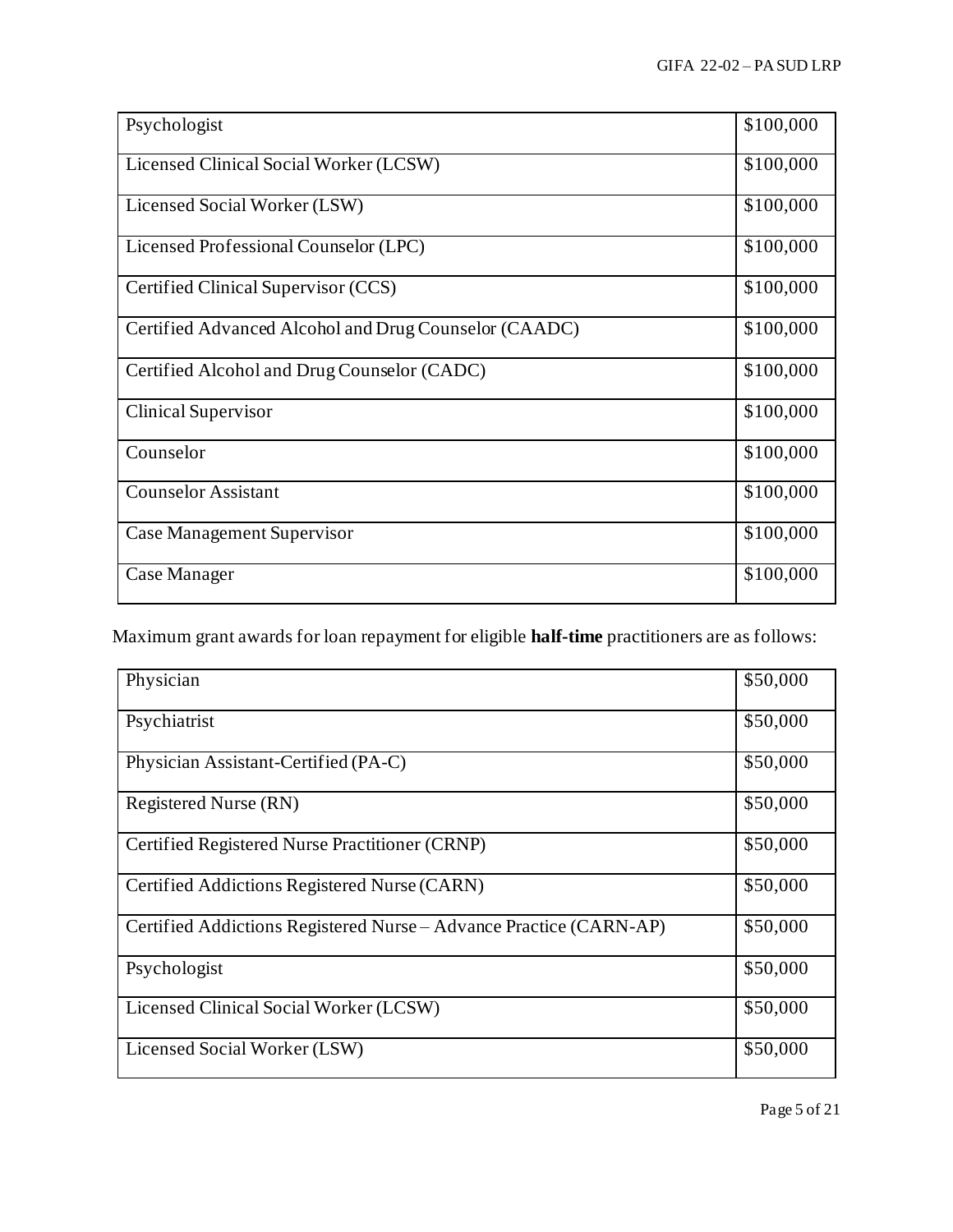| Psychologist                                          | \$100,000 |
|-------------------------------------------------------|-----------|
| Licensed Clinical Social Worker (LCSW)                | \$100,000 |
| Licensed Social Worker (LSW)                          | \$100,000 |
| Licensed Professional Counselor (LPC)                 | \$100,000 |
| Certified Clinical Supervisor (CCS)                   | \$100,000 |
| Certified Advanced Alcohol and Drug Counselor (CAADC) | \$100,000 |
| Certified Alcohol and Drug Counselor (CADC)           | \$100,000 |
| <b>Clinical Supervisor</b>                            | \$100,000 |
| Counselor                                             | \$100,000 |
| <b>Counselor Assistant</b>                            | \$100,000 |
| Case Management Supervisor                            | \$100,000 |
| Case Manager                                          | \$100,000 |

Maximum grant awards for loan repayment for eligible **half-time** practitioners are as follows:

| Physician                                                          | \$50,000 |
|--------------------------------------------------------------------|----------|
| Psychiatrist                                                       | \$50,000 |
| Physician Assistant-Certified (PA-C)                               | \$50,000 |
| Registered Nurse (RN)                                              | \$50,000 |
| Certified Registered Nurse Practitioner (CRNP)                     | \$50,000 |
| Certified Addictions Registered Nurse (CARN)                       | \$50,000 |
| Certified Addictions Registered Nurse – Advance Practice (CARN-AP) | \$50,000 |
| Psychologist                                                       | \$50,000 |
| Licensed Clinical Social Worker (LCSW)                             | \$50,000 |
| Licensed Social Worker (LSW)                                       | \$50,000 |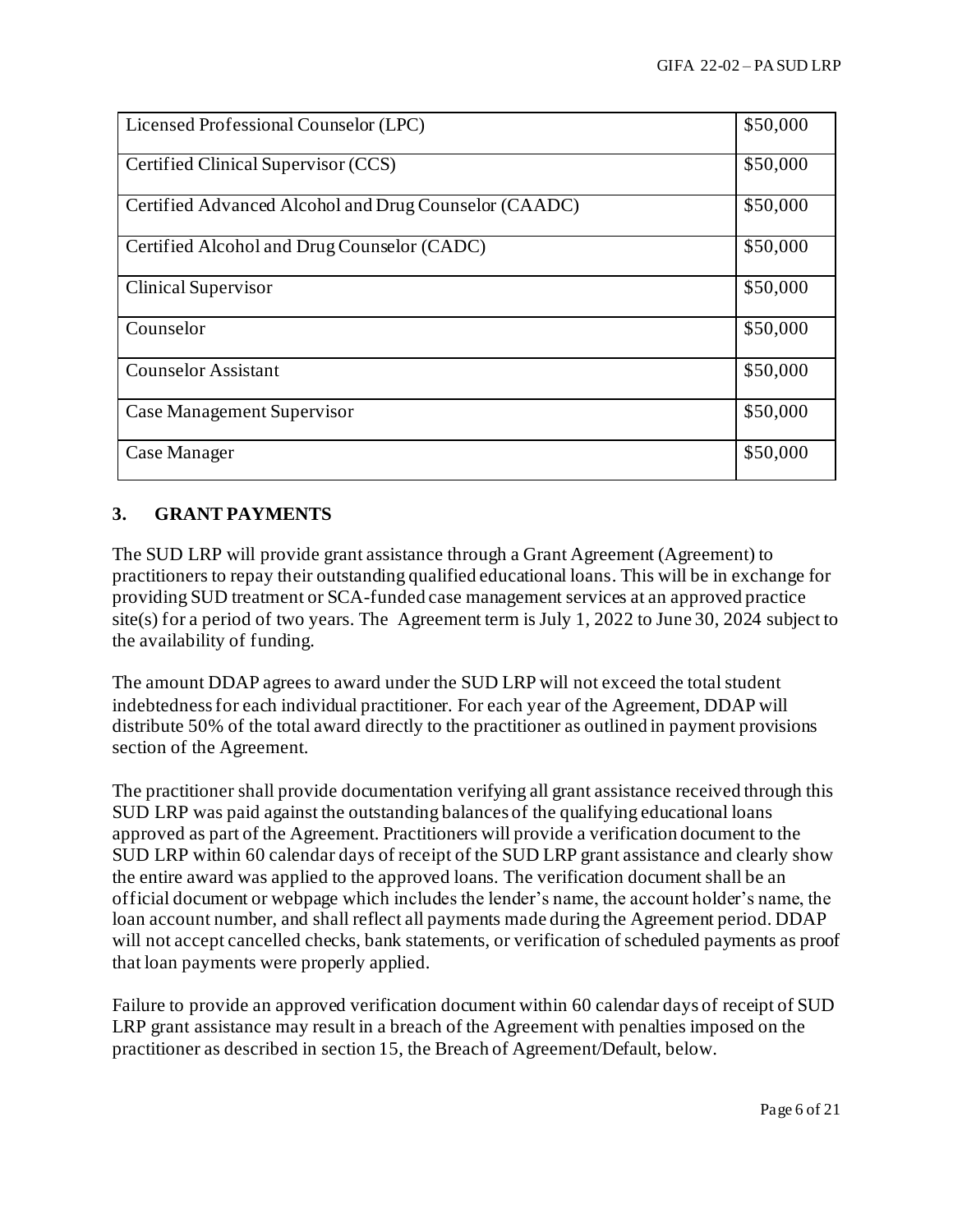| Licensed Professional Counselor (LPC)                 | \$50,000 |
|-------------------------------------------------------|----------|
| Certified Clinical Supervisor (CCS)                   | \$50,000 |
| Certified Advanced Alcohol and Drug Counselor (CAADC) | \$50,000 |
| Certified Alcohol and Drug Counselor (CADC)           | \$50,000 |
| <b>Clinical Supervisor</b>                            | \$50,000 |
| Counselor                                             | \$50,000 |
| <b>Counselor Assistant</b>                            | \$50,000 |
| Case Management Supervisor                            | \$50,000 |
| Case Manager                                          | \$50,000 |

# **3. GRANT PAYMENTS**

The SUD LRP will provide grant assistance through a Grant Agreement (Agreement) to practitioners to repay their outstanding qualified educational loans. This will be in exchange for providing SUD treatment or SCA-funded case management services at an approved practice site(s) for a period of two years. The Agreement term is July 1, 2022 to June 30, 2024 subject to the availability of funding.

The amount DDAP agrees to award under the SUD LRP will not exceed the total student indebtedness for each individual practitioner. For each year of the Agreement, DDAP will distribute 50% of the total award directly to the practitioner as outlined in payment provisions section of the Agreement.

The practitioner shall provide documentation verifying all grant assistance received through this SUD LRP was paid against the outstanding balances of the qualifying educational loans approved as part of the Agreement. Practitioners will provide a verification document to the SUD LRP within 60 calendar days of receipt of the SUD LRP grant assistance and clearly show the entire award was applied to the approved loans. The verification document shall be an official document or webpage which includes the lender's name, the account holder's name, the loan account number, and shall reflect all payments made during the Agreement period. DDAP will not accept cancelled checks, bank statements, or verification of scheduled payments as proof that loan payments were properly applied.

Failure to provide an approved verification document within 60 calendar days of receipt of SUD LRP grant assistance may result in a breach of the Agreement with penalties imposed on the practitioner as described in section 15, the Breach of Agreement/Default, below.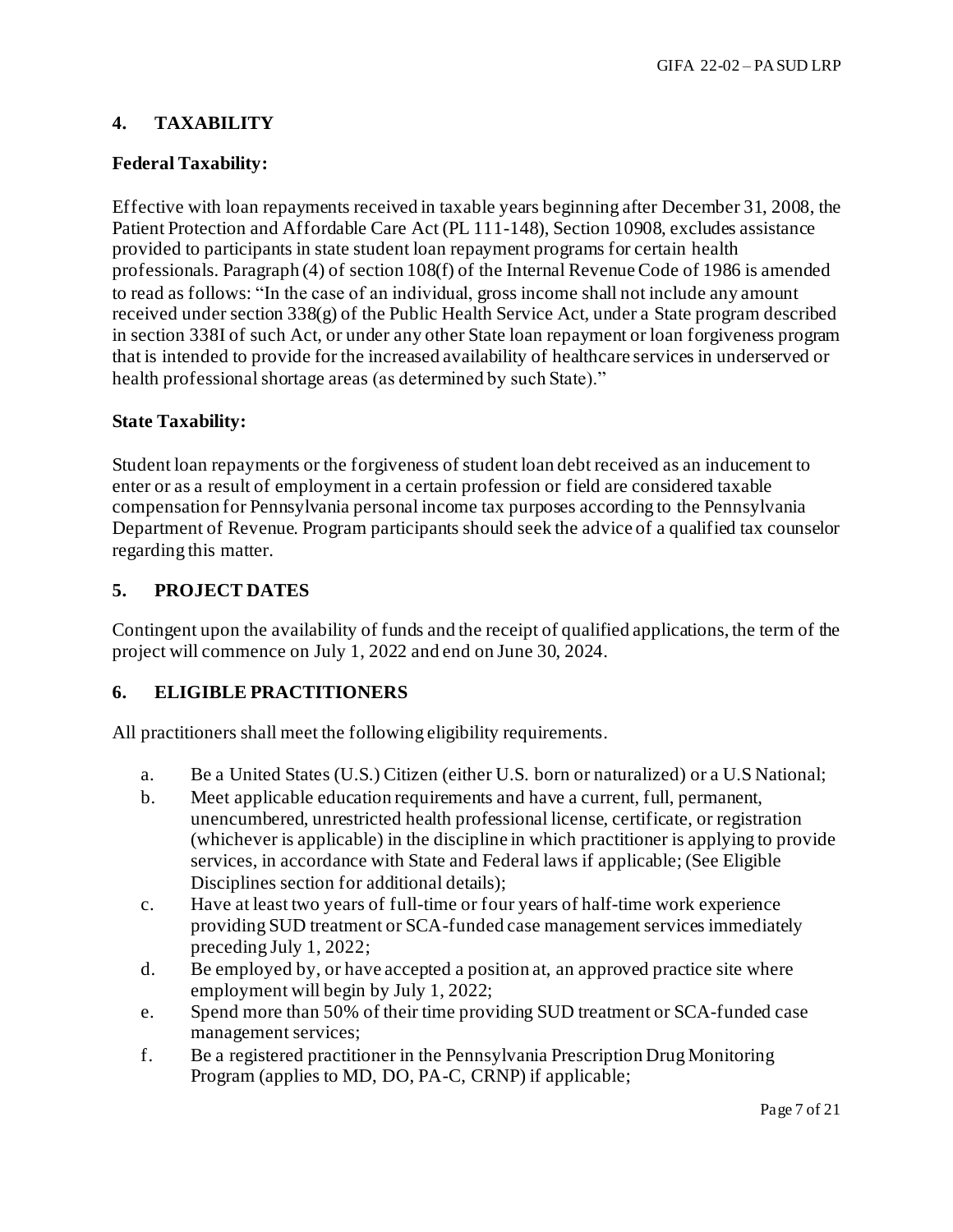# **4. TAXABILITY**

## **Federal Taxability:**

Effective with loan repayments received in taxable years beginning after December 31, 2008, the Patient Protection and Affordable Care Act (PL 111-148), Section 10908, excludes assistance provided to participants in state student loan repayment programs for certain health professionals. Paragraph (4) of section 108(f) of the Internal Revenue Code of 1986 is amended to read as follows: "In the case of an individual, gross income shall not include any amount received under section 338(g) of the Public Health Service Act, under a State program described in section 338I of such Act, or under any other State loan repayment or loan forgiveness program that is intended to provide for the increased availability of healthcare services in underserved or health professional shortage areas (as determined by such State)."

### **State Taxability:**

Student loan repayments or the forgiveness of student loan debt received as an inducement to enter or as a result of employment in a certain profession or field are considered taxable compensation for Pennsylvania personal income tax purposes according to the Pennsylvania Department of Revenue. Program participants should seek the advice of a qualified tax counselor regarding this matter.

## **5. PROJECT DATES**

Contingent upon the availability of funds and the receipt of qualified applications, the term of the project will commence on July 1, 2022 and end on June 30, 2024.

## **6. ELIGIBLE PRACTITIONERS**

All practitioners shall meet the following eligibility requirements.

- a. Be a United States (U.S.) Citizen (either U.S. born or naturalized) or a U.S National;
- b. Meet applicable education requirements and have a current, full, permanent, unencumbered, unrestricted health professional license, certificate, or registration (whichever is applicable) in the discipline in which practitioner is applying to provide services, in accordance with State and Federal laws if applicable; (See Eligible Disciplines section for additional details);
- c. Have at least two years of full-time or four years of half-time work experience providing SUD treatment or SCA-funded case management services immediately preceding July 1, 2022;
- d. Be employed by, or have accepted a position at, an approved practice site where employment will begin by July 1, 2022;
- e. Spend more than 50% of their time providing SUD treatment or SCA-funded case management services;
- f. Be a registered practitioner in the Pennsylvania Prescription Drug Monitoring Program (applies to MD, DO, PA-C, CRNP) if applicable;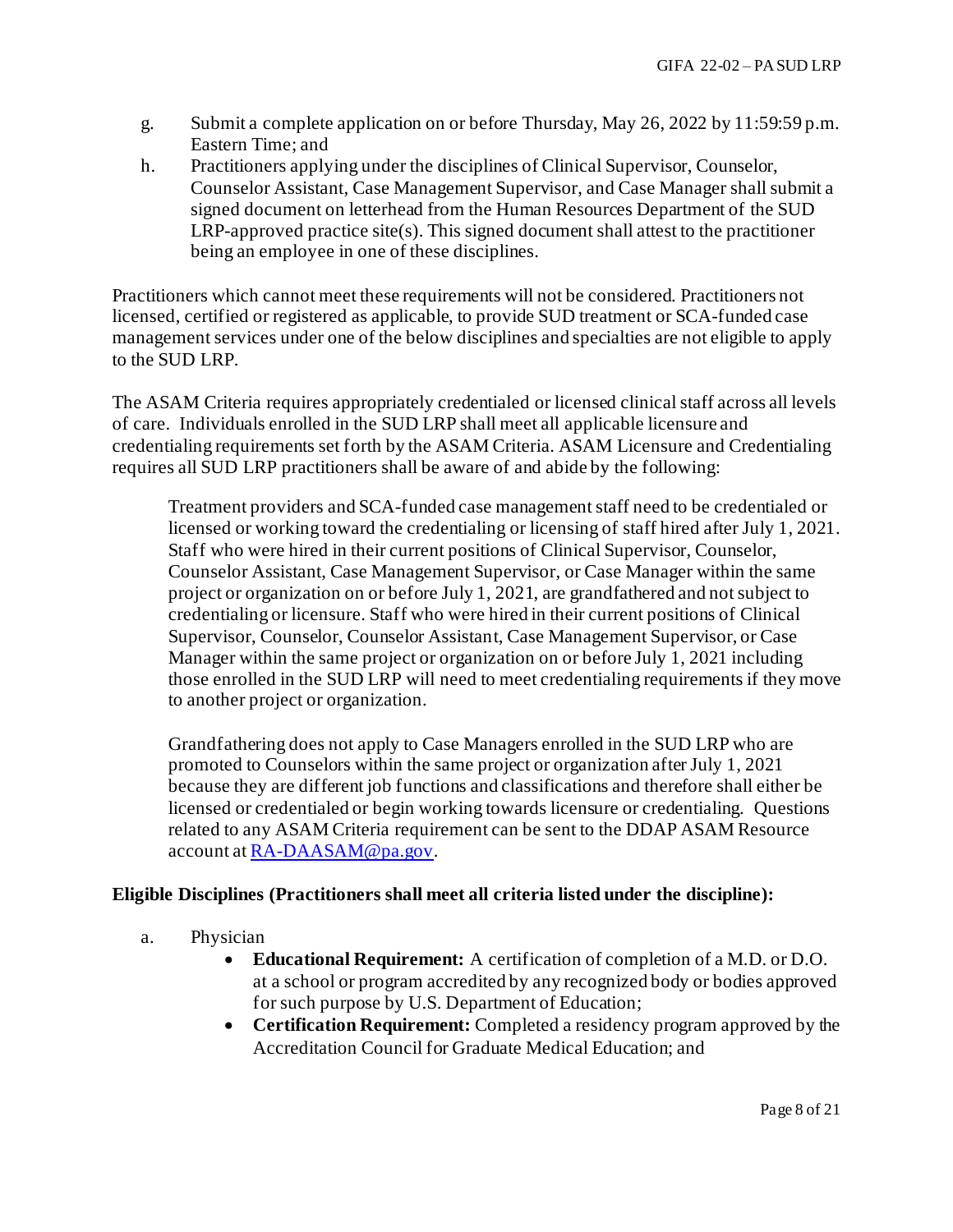- g. Submit a complete application on or before Thursday, May 26, 2022 by 11:59:59 p.m. Eastern Time; and
- h. Practitioners applying under the disciplines of Clinical Supervisor, Counselor, Counselor Assistant, Case Management Supervisor, and Case Manager shall submit a signed document on letterhead from the Human Resources Department of the SUD LRP-approved practice site(s). This signed document shall attest to the practitioner being an employee in one of these disciplines.

Practitioners which cannot meet these requirements will not be considered. Practitioners not licensed, certified or registered as applicable, to provide SUD treatment or SCA-funded case management services under one of the below disciplines and specialties are not eligible to apply to the SUD LRP.

The ASAM Criteria requires appropriately credentialed or licensed clinical staff across all levels of care. Individuals enrolled in the SUD LRP shall meet all applicable licensure and credentialing requirements set forth by the ASAM Criteria. ASAM Licensure and Credentialing requires all SUD LRP practitioners shall be aware of and abide by the following:

Treatment providers and SCA-funded case management staff need to be credentialed or licensed or working toward the credentialing or licensing of staff hired after July 1, 2021. Staff who were hired in their current positions of Clinical Supervisor, Counselor, Counselor Assistant, Case Management Supervisor, or Case Manager within the same project or organization on or before July 1, 2021, are grandfathered and not subject to credentialing or licensure. Staff who were hired in their current positions of Clinical Supervisor, Counselor, Counselor Assistant, Case Management Supervisor, or Case Manager within the same project or organization on or before July 1, 2021 including those enrolled in the SUD LRP will need to meet credentialing requirements if they move to another project or organization.

Grandfathering does not apply to Case Managers enrolled in the SUD LRP who are promoted to Counselors within the same project or organization after July 1, 2021 because they are different job functions and classifications and therefore shall either be licensed or credentialed or begin working towards licensure or credentialing. Questions related to any ASAM Criteria requirement can be sent to the DDAP ASAM Resource account a[t RA-DAASAM@pa.gov](mailto:RA-DAASAM@pa.gov).

## **Eligible Disciplines (Practitioners shall meet all criteria listed under the discipline):**

- a. Physician
	- **Educational Requirement:** A certification of completion of a M.D. or D.O. at a school or program accredited by any recognized body or bodies approved for such purpose by U.S. Department of Education;
	- **Certification Requirement:** Completed a residency program approved by the Accreditation Council for Graduate Medical Education; and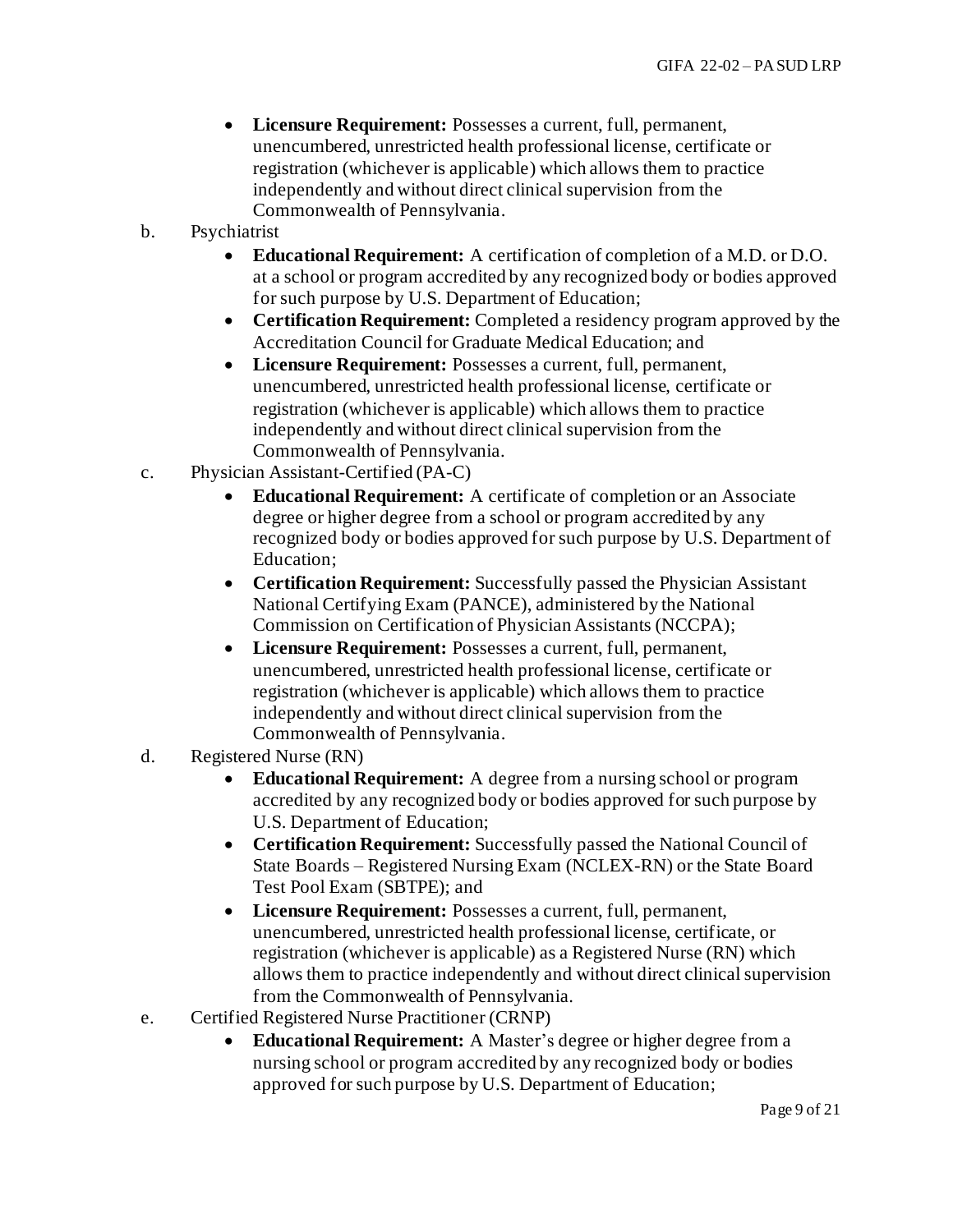- **Licensure Requirement:** Possesses a current, full, permanent, unencumbered, unrestricted health professional license, certificate or registration (whichever is applicable) which allows them to practice independently and without direct clinical supervision from the Commonwealth of Pennsylvania.
- b. Psychiatrist
	- **Educational Requirement:** A certification of completion of a M.D. or D.O. at a school or program accredited by any recognized body or bodies approved for such purpose by U.S. Department of Education;
	- **Certification Requirement:** Completed a residency program approved by the Accreditation Council for Graduate Medical Education; and
	- **Licensure Requirement:** Possesses a current, full, permanent, unencumbered, unrestricted health professional license, certificate or registration (whichever is applicable) which allows them to practice independently and without direct clinical supervision from the Commonwealth of Pennsylvania.
- c. Physician Assistant-Certified (PA-C)
	- **Educational Requirement:** A certificate of completion or an Associate degree or higher degree from a school or program accredited by any recognized body or bodies approved for such purpose by U.S. Department of Education;
	- **Certification Requirement:** Successfully passed the Physician Assistant National Certifying Exam (PANCE), administered by the National Commission on Certification of Physician Assistants (NCCPA);
	- **Licensure Requirement:** Possesses a current, full, permanent, unencumbered, unrestricted health professional license, certificate or registration (whichever is applicable) which allows them to practice independently and without direct clinical supervision from the Commonwealth of Pennsylvania.
- d. Registered Nurse (RN)
	- **Educational Requirement:** A degree from a nursing school or program accredited by any recognized body or bodies approved for such purpose by U.S. Department of Education;
	- **Certification Requirement:** Successfully passed the National Council of State Boards – Registered Nursing Exam (NCLEX-RN) or the State Board Test Pool Exam (SBTPE); and
	- **Licensure Requirement:** Possesses a current, full, permanent, unencumbered, unrestricted health professional license, certificate, or registration (whichever is applicable) as a Registered Nurse (RN) which allows them to practice independently and without direct clinical supervision from the Commonwealth of Pennsylvania.
- e. Certified Registered Nurse Practitioner (CRNP)
	- **Educational Requirement:** A Master's degree or higher degree from a nursing school or program accredited by any recognized body or bodies approved for such purpose by U.S. Department of Education;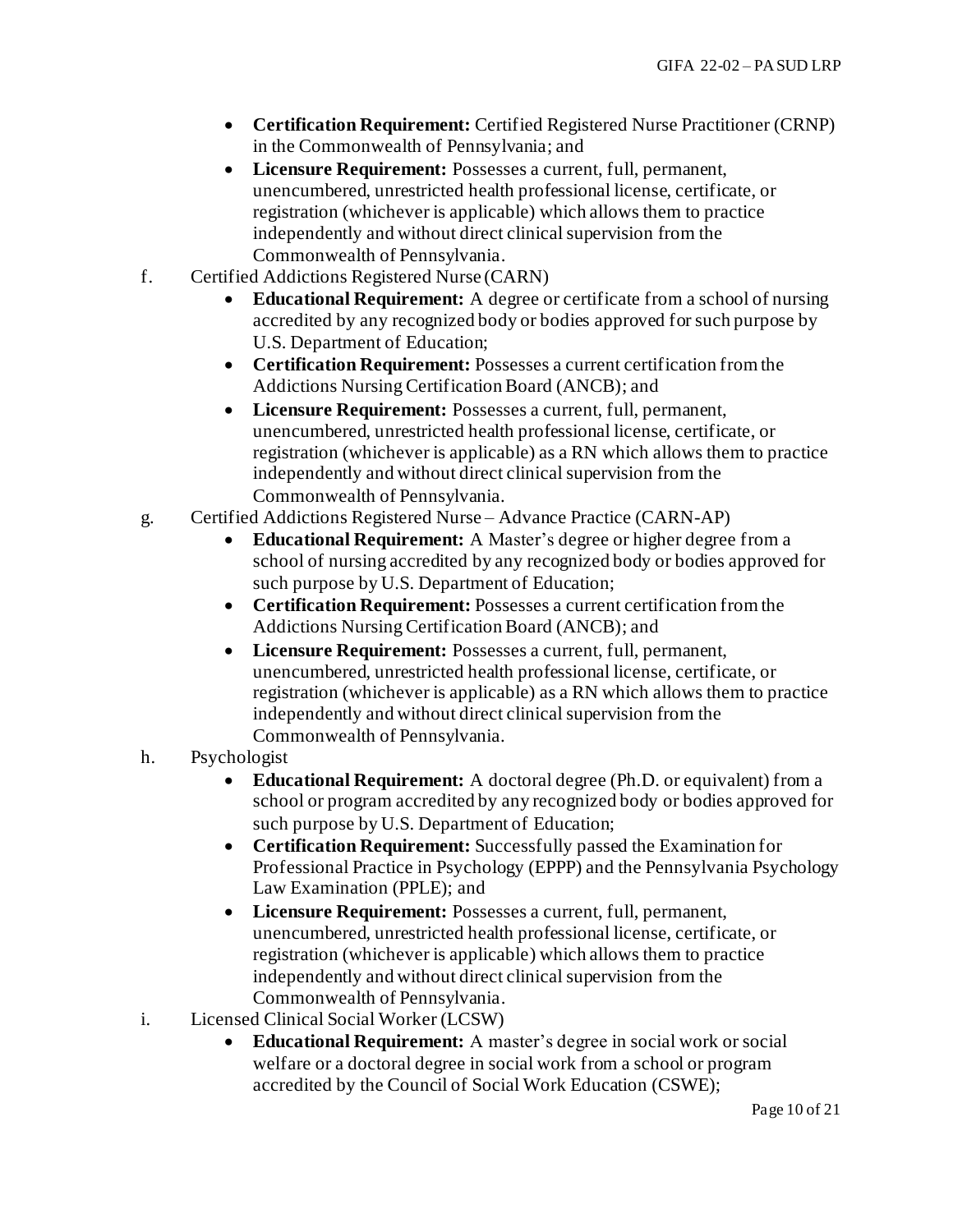- **Certification Requirement:** Certified Registered Nurse Practitioner (CRNP) in the Commonwealth of Pennsylvania; and
- **Licensure Requirement:** Possesses a current, full, permanent, unencumbered, unrestricted health professional license, certificate, or registration (whichever is applicable) which allows them to practice independently and without direct clinical supervision from the Commonwealth of Pennsylvania.
- f. Certified Addictions Registered Nurse (CARN)
	- **Educational Requirement:** A degree or certificate from a school of nursing accredited by any recognized body or bodies approved for such purpose by U.S. Department of Education;
	- **Certification Requirement:** Possesses a current certification from the Addictions Nursing Certification Board (ANCB); and
	- **Licensure Requirement:** Possesses a current, full, permanent, unencumbered, unrestricted health professional license, certificate, or registration (whichever is applicable) as a RN which allows them to practice independently and without direct clinical supervision from the Commonwealth of Pennsylvania.
- g. Certified Addictions Registered Nurse Advance Practice (CARN-AP)
	- **Educational Requirement:** A Master's degree or higher degree from a school of nursing accredited by any recognized body or bodies approved for such purpose by U.S. Department of Education;
	- **Certification Requirement:** Possesses a current certification from the Addictions Nursing Certification Board (ANCB); and
	- **Licensure Requirement:** Possesses a current, full, permanent, unencumbered, unrestricted health professional license, certificate, or registration (whichever is applicable) as a RN which allows them to practice independently and without direct clinical supervision from the Commonwealth of Pennsylvania.
- h. Psychologist
	- **Educational Requirement:** A doctoral degree (Ph.D. or equivalent) from a school or program accredited by any recognized body or bodies approved for such purpose by U.S. Department of Education;
	- **Certification Requirement:** Successfully passed the Examination for Professional Practice in Psychology (EPPP) and the Pennsylvania Psychology Law Examination (PPLE); and
	- **Licensure Requirement:** Possesses a current, full, permanent, unencumbered, unrestricted health professional license, certificate, or registration (whichever is applicable) which allows them to practice independently and without direct clinical supervision from the Commonwealth of Pennsylvania.
- i. Licensed Clinical Social Worker (LCSW)
	- **Educational Requirement:** A master's degree in social work or social welfare or a doctoral degree in social work from a school or program accredited by the Council of Social Work Education (CSWE);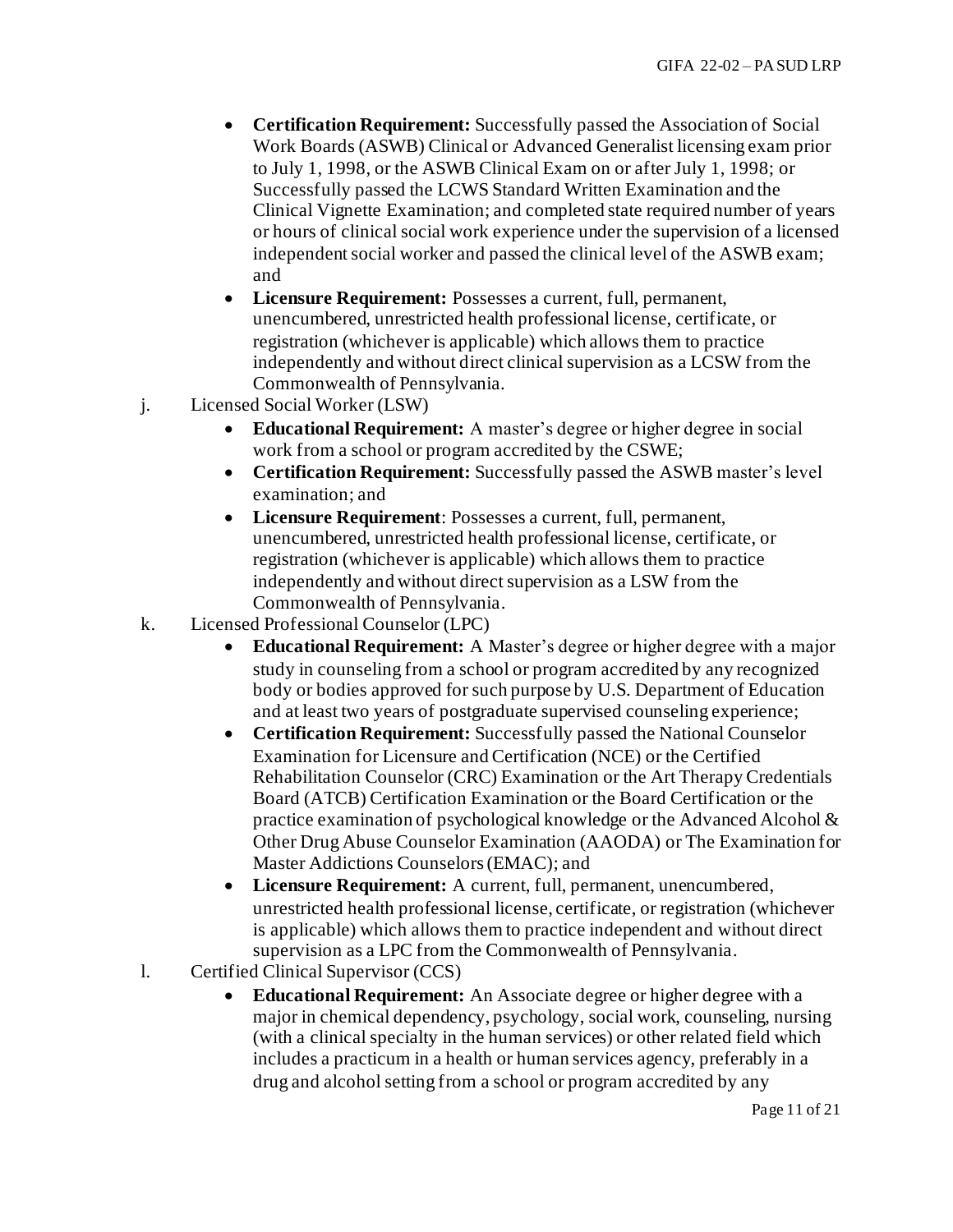- **Certification Requirement:** Successfully passed the Association of Social Work Boards (ASWB) Clinical or Advanced Generalist licensing exam prior to July 1, 1998, or the ASWB Clinical Exam on or after July 1, 1998; or Successfully passed the LCWS Standard Written Examination and the Clinical Vignette Examination; and completed state required number of years or hours of clinical social work experience under the supervision of a licensed independent social worker and passed the clinical level of the ASWB exam; and
- **Licensure Requirement:** Possesses a current, full, permanent, unencumbered, unrestricted health professional license, certificate, or registration (whichever is applicable) which allows them to practice independently and without direct clinical supervision as a LCSW from the Commonwealth of Pennsylvania.
- j. Licensed Social Worker (LSW)
	- **Educational Requirement:** A master's degree or higher degree in social work from a school or program accredited by the CSWE;
	- **Certification Requirement:** Successfully passed the ASWB master's level examination; and
	- **Licensure Requirement**: Possesses a current, full, permanent, unencumbered, unrestricted health professional license, certificate, or registration (whichever is applicable) which allows them to practice independently and without direct supervision as a LSW from the Commonwealth of Pennsylvania.
- k. Licensed Professional Counselor (LPC)
	- **Educational Requirement:** A Master's degree or higher degree with a major study in counseling from a school or program accredited by any recognized body or bodies approved for such purpose by U.S. Department of Education and at least two years of postgraduate supervised counseling experience;
	- **Certification Requirement:** Successfully passed the National Counselor Examination for Licensure and Certification (NCE) or the Certified Rehabilitation Counselor (CRC) Examination or the Art Therapy Credentials Board (ATCB) Certification Examination or the Board Certification or the practice examination of psychological knowledge or the Advanced Alcohol & Other Drug Abuse Counselor Examination (AAODA) or The Examination for Master Addictions Counselors (EMAC); and
	- **Licensure Requirement:** A current, full, permanent, unencumbered, unrestricted health professional license, certificate, or registration (whichever is applicable) which allows them to practice independent and without direct supervision as a LPC from the Commonwealth of Pennsylvania.
- l. Certified Clinical Supervisor (CCS)
	- **Educational Requirement:** An Associate degree or higher degree with a major in chemical dependency, psychology, social work, counseling, nursing (with a clinical specialty in the human services) or other related field which includes a practicum in a health or human services agency, preferably in a drug and alcohol setting from a school or program accredited by any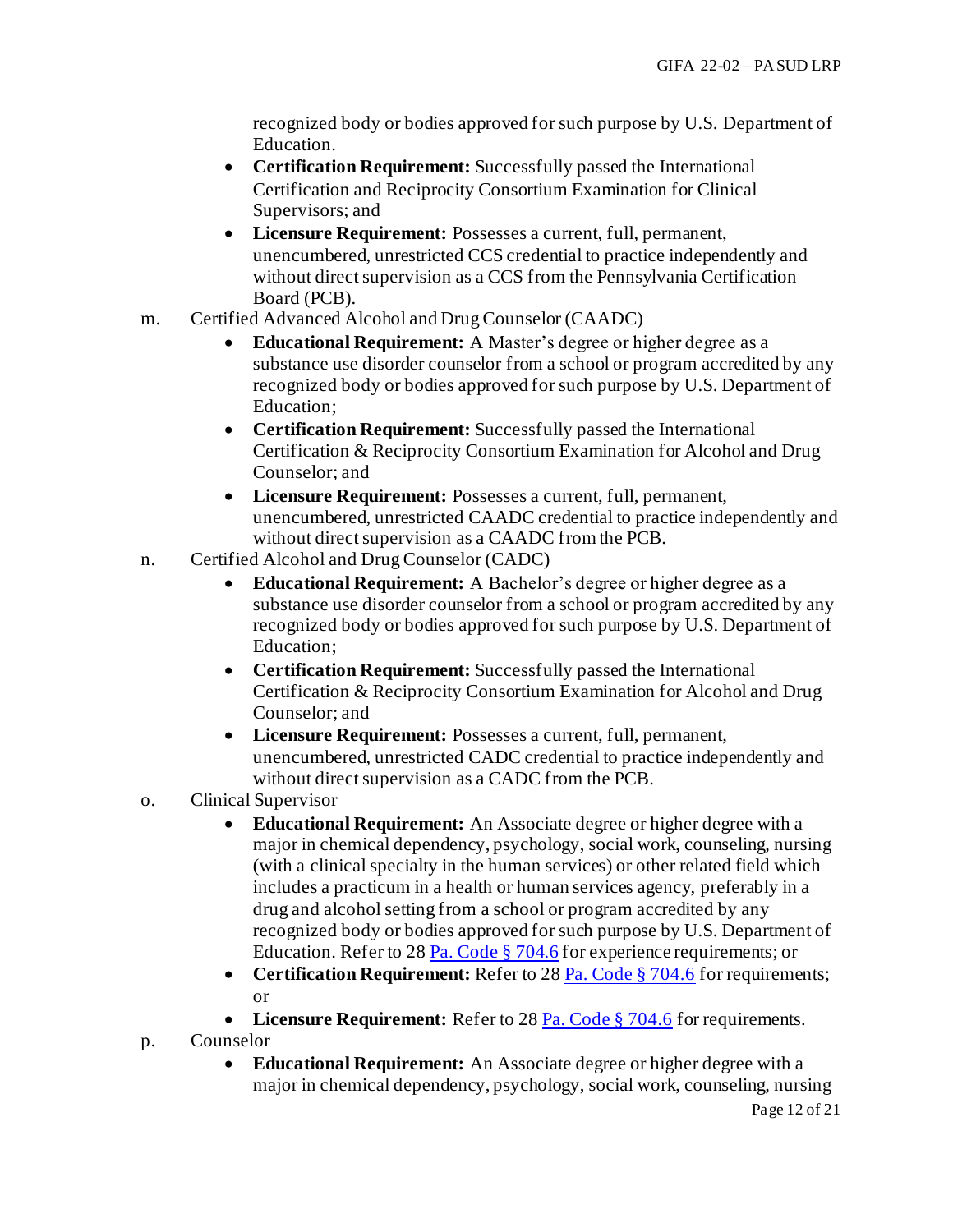recognized body or bodies approved for such purpose by U.S. Department of Education.

- **Certification Requirement:** Successfully passed the International Certification and Reciprocity Consortium Examination for Clinical Supervisors; and
- **Licensure Requirement:** Possesses a current, full, permanent, unencumbered, unrestricted CCS credential to practice independently and without direct supervision as a CCS from the Pennsylvania Certification Board (PCB).
- m. Certified Advanced Alcohol and Drug Counselor (CAADC)
	- **Educational Requirement:** A Master's degree or higher degree as a substance use disorder counselor from a school or program accredited by any recognized body or bodies approved for such purpose by U.S. Department of Education;
	- **Certification Requirement:** Successfully passed the International Certification & Reciprocity Consortium Examination for Alcohol and Drug Counselor; and
	- **Licensure Requirement:** Possesses a current, full, permanent, unencumbered, unrestricted CAADC credential to practice independently and without direct supervision as a CAADC from the PCB.
- n. Certified Alcohol and Drug Counselor (CADC)
	- **Educational Requirement:** A Bachelor's degree or higher degree as a substance use disorder counselor from a school or program accredited by any recognized body or bodies approved for such purpose by U.S. Department of Education;
	- **Certification Requirement:** Successfully passed the International Certification & Reciprocity Consortium Examination for Alcohol and Drug Counselor; and
	- **Licensure Requirement:** Possesses a current, full, permanent, unencumbered, unrestricted CADC credential to practice independently and without direct supervision as a CADC from the PCB.
- o. Clinical Supervisor
	- **Educational Requirement:** An Associate degree or higher degree with a major in chemical dependency, psychology, social work, counseling, nursing (with a clinical specialty in the human services) or other related field which includes a practicum in a health or human services agency, preferably in a drug and alcohol setting from a school or program accredited by any recognized body or bodies approved for such purpose by U.S. Department of Education. Refer to 2[8 Pa. Code § 704.6](http://www.pacodeandbulletin.gov/Display/pacode?file=/secure/pacode/data/028/chapter704/s704.6.html&d=) for experience requirements; or
	- **Certification Requirement:** Refer to 2[8 Pa. Code § 704.6](http://www.pacodeandbulletin.gov/Display/pacode?file=/secure/pacode/data/028/chapter704/s704.6.html&d=) for requirements; or
	- Licensure Requirement: Refer to 2[8 Pa. Code § 704.6](http://www.pacodeandbulletin.gov/Display/pacode?file=/secure/pacode/data/028/chapter704/s704.6.html&d=) for requirements.
- p. Counselor
	- **Educational Requirement:** An Associate degree or higher degree with a major in chemical dependency, psychology, social work, counseling, nursing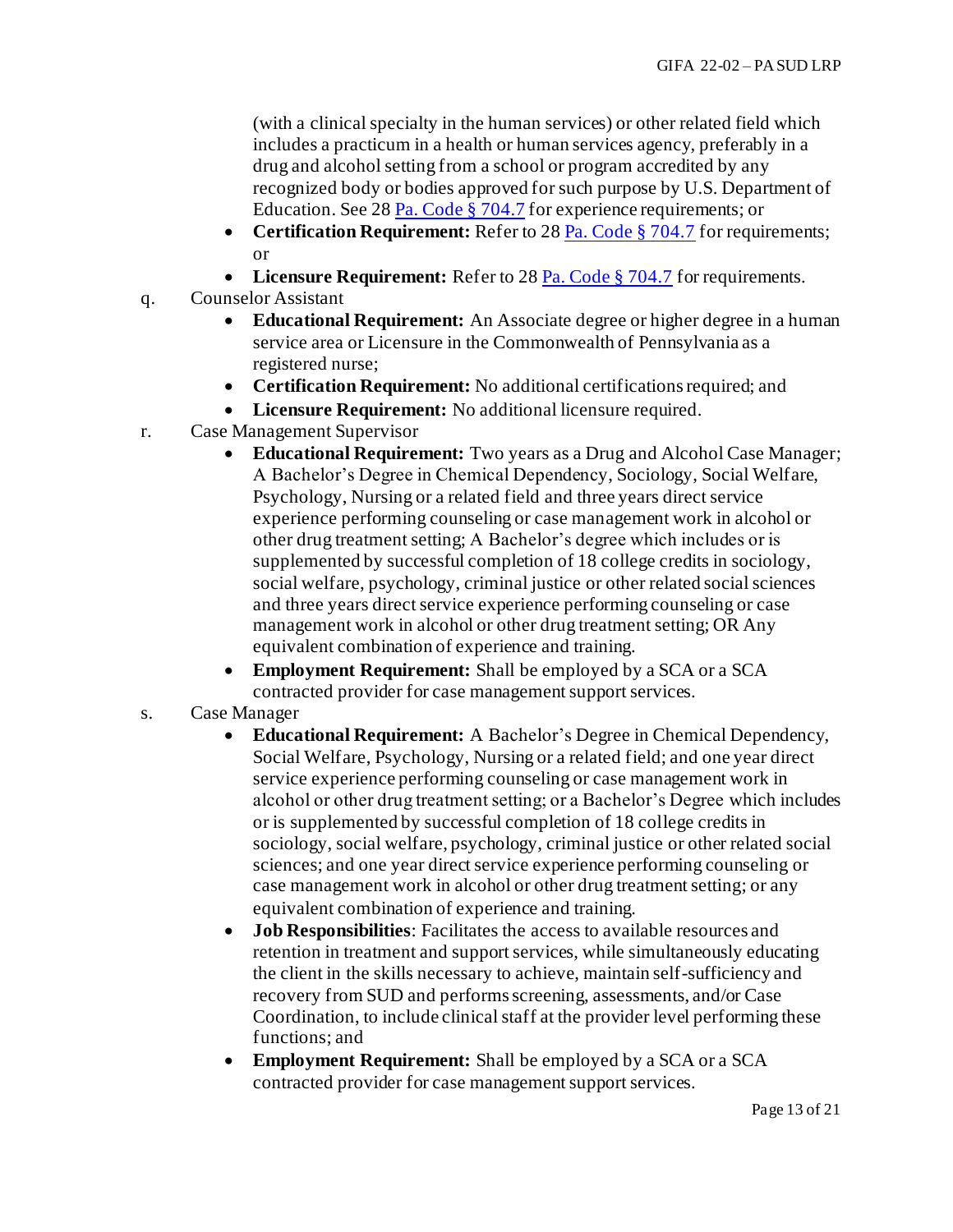(with a clinical specialty in the human services) or other related field which includes a practicum in a health or human services agency, preferably in a drug and alcohol setting from a school or program accredited by any recognized body or bodies approved for such purpose by U.S. Department of Education. See 2[8 Pa. Code § 704.7](http://www.pacodeandbulletin.gov/Display/pacode?file=/secure/pacode/data/028/chapter704/s704.7.html&d=reduce) for experience requirements; or

- **Certification Requirement:** Refer to 2[8 Pa. Code § 704.7](http://www.pacodeandbulletin.gov/Display/pacode?file=/secure/pacode/data/028/chapter704/s704.7.html&d=reduce) for requirements; or
- Licensure Requirement: Refer to 2[8 Pa. Code § 704.7](http://www.pacodeandbulletin.gov/Display/pacode?file=/secure/pacode/data/028/chapter704/s704.7.html&d=reduce) for requirements.
- q. Counselor Assistant
	- **Educational Requirement:** An Associate degree or higher degree in a human service area or Licensure in the Commonwealth of Pennsylvania as a registered nurse;
	- **Certification Requirement:** No additional certifications required; and
	- **Licensure Requirement:** No additional licensure required.
- r. Case Management Supervisor
	- **Educational Requirement:** Two years as a Drug and Alcohol Case Manager; A Bachelor's Degree in Chemical Dependency, Sociology, Social Welfare, Psychology, Nursing or a related field and three years direct service experience performing counseling or case management work in alcohol or other drug treatment setting; A Bachelor's degree which includes or is supplemented by successful completion of 18 college credits in sociology, social welfare, psychology, criminal justice or other related social sciences and three years direct service experience performing counseling or case management work in alcohol or other drug treatment setting; OR Any equivalent combination of experience and training.
	- **Employment Requirement:** Shall be employed by a SCA or a SCA contracted provider for case management support services.
- s. Case Manager
	- **Educational Requirement:** A Bachelor's Degree in Chemical Dependency, Social Welfare, Psychology, Nursing or a related field; and one year direct service experience performing counseling or case management work in alcohol or other drug treatment setting; or a Bachelor's Degree which includes or is supplemented by successful completion of 18 college credits in sociology, social welfare, psychology, criminal justice or other related social sciences; and one year direct service experience performing counseling or case management work in alcohol or other drug treatment setting; or any equivalent combination of experience and training.
	- **Job Responsibilities**: Facilitates the access to available resources and retention in treatment and support services, while simultaneously educating the client in the skills necessary to achieve, maintain self-sufficiency and recovery from SUD and performs screening, assessments, and/or Case Coordination, to include clinical staff at the provider level performing these functions; and
	- **Employment Requirement:** Shall be employed by a SCA or a SCA contracted provider for case management support services.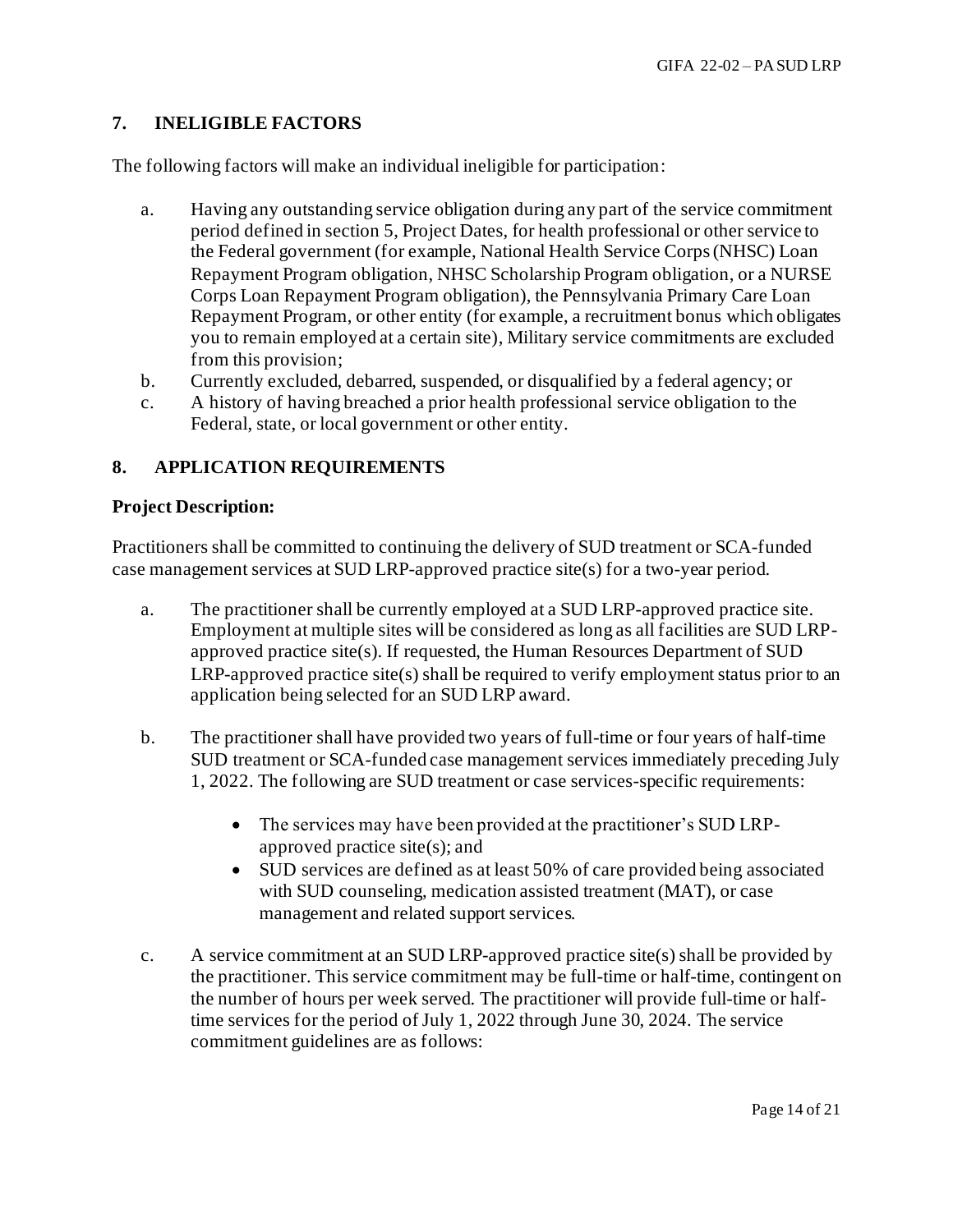## **7. INELIGIBLE FACTORS**

The following factors will make an individual ineligible for participation:

- a. Having any outstanding service obligation during any part of the service commitment period defined in section 5, Project Dates, for health professional or other service to the Federal government (for example, National Health Service Corps (NHSC) Loan Repayment Program obligation, NHSC Scholarship Program obligation, or a NURSE Corps Loan Repayment Program obligation), the Pennsylvania Primary Care Loan Repayment Program, or other entity (for example, a recruitment bonus which obligates you to remain employed at a certain site), Military service commitments are excluded from this provision;
- b. Currently excluded, debarred, suspended, or disqualified by a federal agency; or
- c. A history of having breached a prior health professional service obligation to the Federal, state, or local government or other entity.

## **8. APPLICATION REQUIREMENTS**

#### **Project Description:**

Practitioners shall be committed to continuing the delivery of SUD treatment or SCA-funded case management services at SUD LRP-approved practice site(s) for a two-year period.

- a. The practitioner shall be currently employed at a SUD LRP-approved practice site. Employment at multiple sites will be considered as long as all facilities are SUD LRPapproved practice site(s). If requested, the Human Resources Department of SUD LRP-approved practice site(s) shall be required to verify employment status prior to an application being selected for an SUD LRP award.
- b. The practitioner shall have provided two years of full-time or four years of half-time SUD treatment or SCA-funded case management services immediately preceding July 1, 2022. The following are SUD treatment or case services-specific requirements:
	- The services may have been provided at the practitioner's SUD LRPapproved practice site(s); and
	- SUD services are defined as at least 50% of care provided being associated with SUD counseling, medication assisted treatment (MAT), or case management and related support services.
- c. A service commitment at an SUD LRP-approved practice site(s) shall be provided by the practitioner. This service commitment may be full-time or half-time, contingent on the number of hours per week served. The practitioner will provide full-time or halftime services for the period of July 1, 2022 through June 30, 2024. The service commitment guidelines are as follows: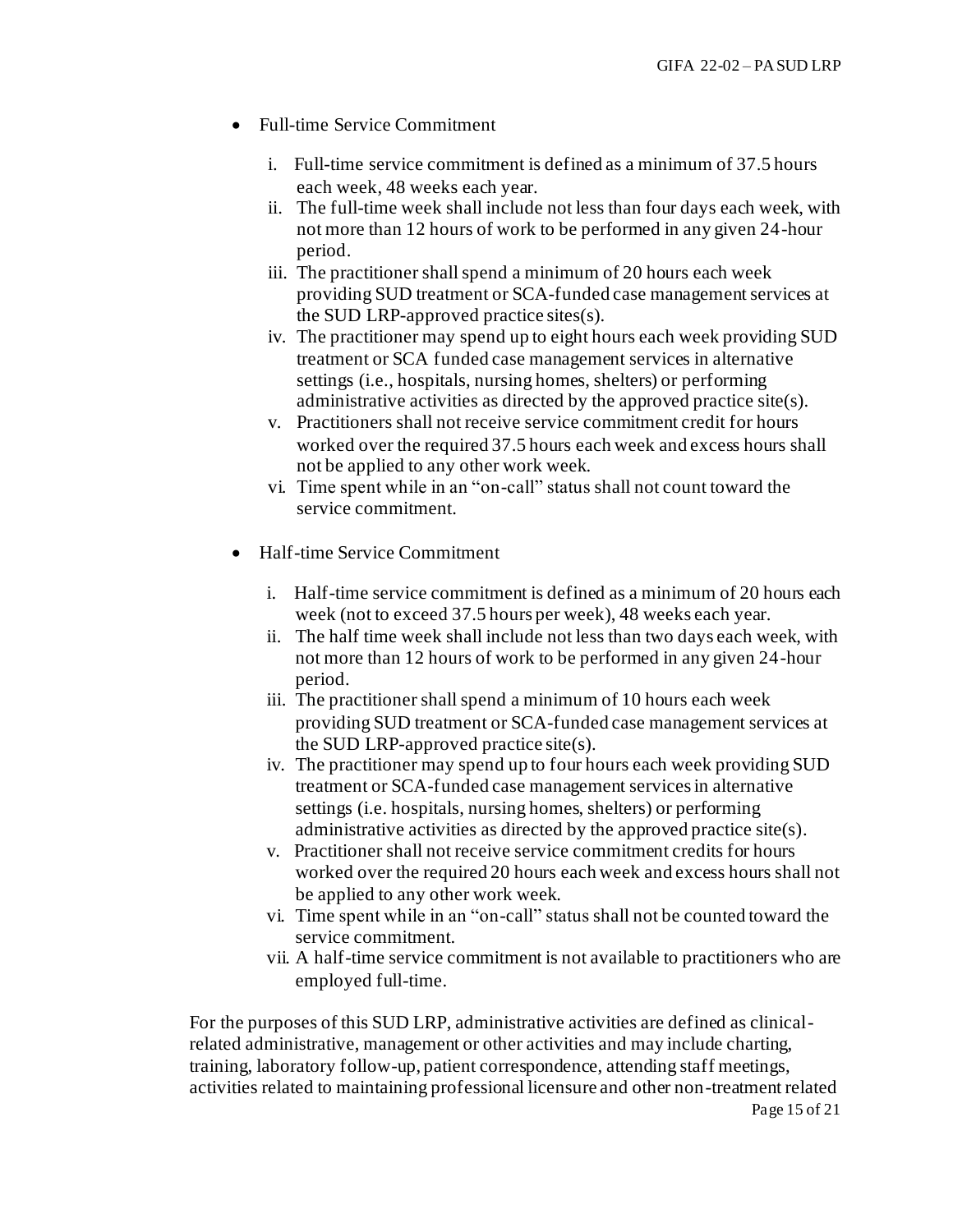- Full-time Service Commitment
	- i. Full-time service commitment is defined as a minimum of 37.5 hours each week, 48 weeks each year.
	- ii. The full-time week shall include not less than four days each week, with not more than 12 hours of work to be performed in any given 24-hour period.
	- iii. The practitioner shall spend a minimum of 20 hours each week providing SUD treatment or SCA-funded case management services at the SUD LRP-approved practice sites(s).
	- iv. The practitioner may spend up to eight hours each week providing SUD treatment or SCA funded case management services in alternative settings (i.e., hospitals, nursing homes, shelters) or performing administrative activities as directed by the approved practice site(s).
	- v. Practitioners shall not receive service commitment credit for hours worked over the required 37.5 hours each week and excess hours shall not be applied to any other work week.
	- vi. Time spent while in an "on-call" status shall not count toward the service commitment.
- Half-time Service Commitment
	- i. Half-time service commitment is defined as a minimum of 20 hours each week (not to exceed 37.5 hours per week), 48 weeks each year.
	- ii. The half time week shall include not less than two days each week, with not more than 12 hours of work to be performed in any given 24-hour period.
	- iii. The practitioner shall spend a minimum of 10 hours each week providing SUD treatment or SCA-funded case management services at the SUD LRP-approved practice site(s).
	- iv. The practitioner may spend up to four hours each week providing SUD treatment or SCA-funded case management services in alternative settings (i.e. hospitals, nursing homes, shelters) or performing administrative activities as directed by the approved practice site(s).
	- v. Practitioner shall not receive service commitment credits for hours worked over the required 20 hours each week and excess hours shall not be applied to any other work week.
	- vi. Time spent while in an "on-call" status shall not be counted toward the service commitment.
	- vii. A half-time service commitment is not available to practitioners who are employed full-time.

For the purposes of this SUD LRP, administrative activities are defined as clinicalrelated administrative, management or other activities and may include charting, training, laboratory follow-up, patient correspondence, attending staff meetings, activities related to maintaining professional licensure and other non-treatment related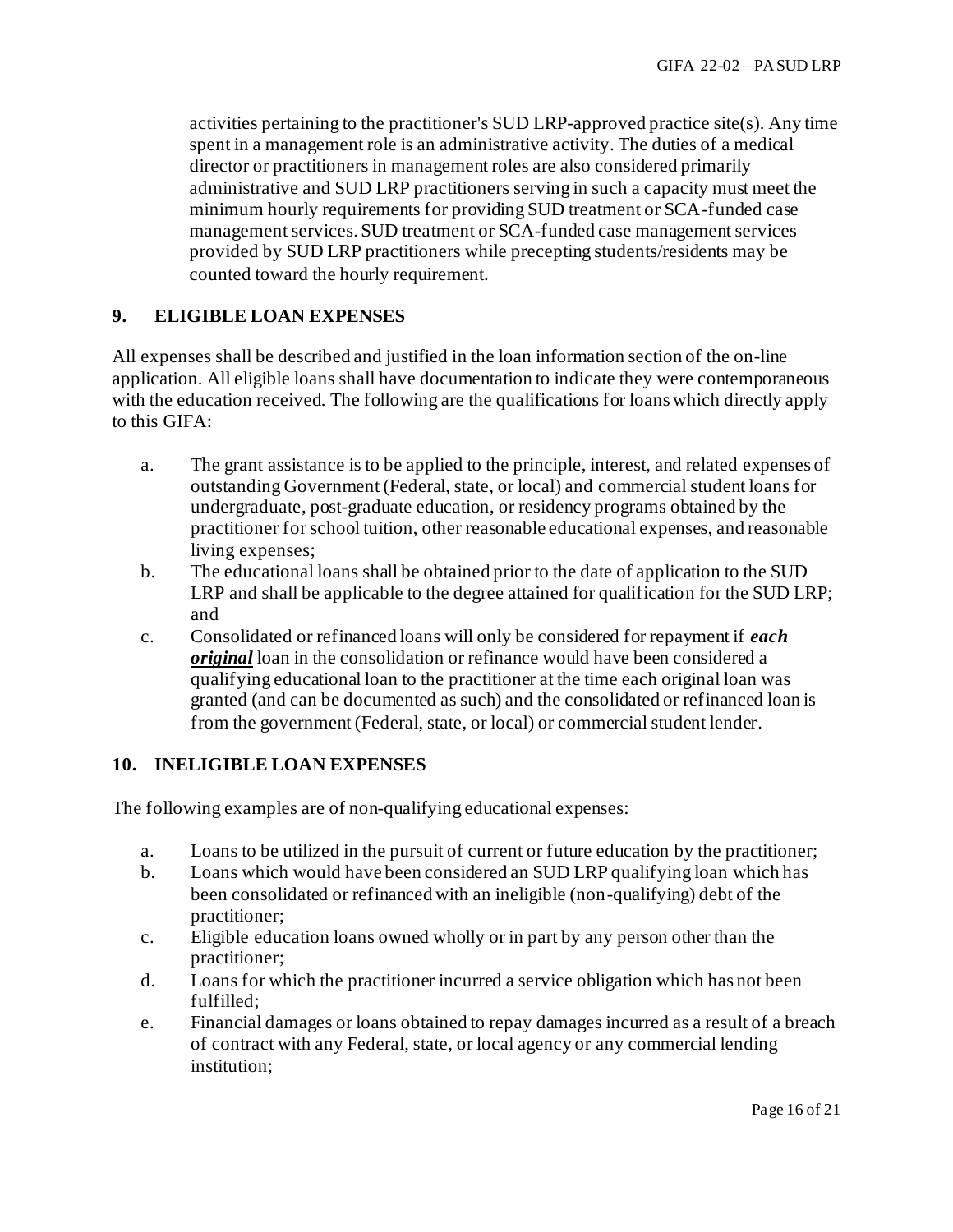activities pertaining to the practitioner's SUD LRP-approved practice site(s). Any time spent in a management role is an administrative activity. The duties of a medical director or practitioners in management roles are also considered primarily administrative and SUD LRP practitioners serving in such a capacity must meet the minimum hourly requirements for providing SUD treatment or SCA-funded case management services. SUD treatment or SCA-funded case management services provided by SUD LRP practitioners while precepting students/residents may be counted toward the hourly requirement.

## **9. ELIGIBLE LOAN EXPENSES**

All expenses shall be described and justified in the loan information section of the on-line application. All eligible loans shall have documentation to indicate they were contemporaneous with the education received. The following are the qualifications for loans which directly apply to this GIFA:

- a. The grant assistance is to be applied to the principle, interest, and related expenses of outstanding Government (Federal, state, or local) and commercial student loans for undergraduate, post-graduate education, or residency programs obtained by the practitioner for school tuition, other reasonable educational expenses, and reasonable living expenses:
- b. The educational loans shall be obtained prior to the date of application to the SUD LRP and shall be applicable to the degree attained for qualification for the SUD LRP; and
- c. Consolidated or refinanced loans will only be considered for repayment if *each original* loan in the consolidation or refinance would have been considered a qualifying educational loan to the practitioner at the time each original loan was granted (and can be documented as such) and the consolidated or refinanced loan is from the government (Federal, state, or local) or commercial student lender.

## **10. INELIGIBLE LOAN EXPENSES**

The following examples are of non-qualifying educational expenses:

- a. Loans to be utilized in the pursuit of current or future education by the practitioner;
- b. Loans which would have been considered an SUD LRP qualifying loan which has been consolidated or refinanced with an ineligible (non-qualifying) debt of the practitioner;
- c. Eligible education loans owned wholly or in part by any person other than the practitioner;
- d. Loans for which the practitioner incurred a service obligation which has not been fulfilled;
- e. Financial damages or loans obtained to repay damages incurred as a result of a breach of contract with any Federal, state, or local agency or any commercial lending institution;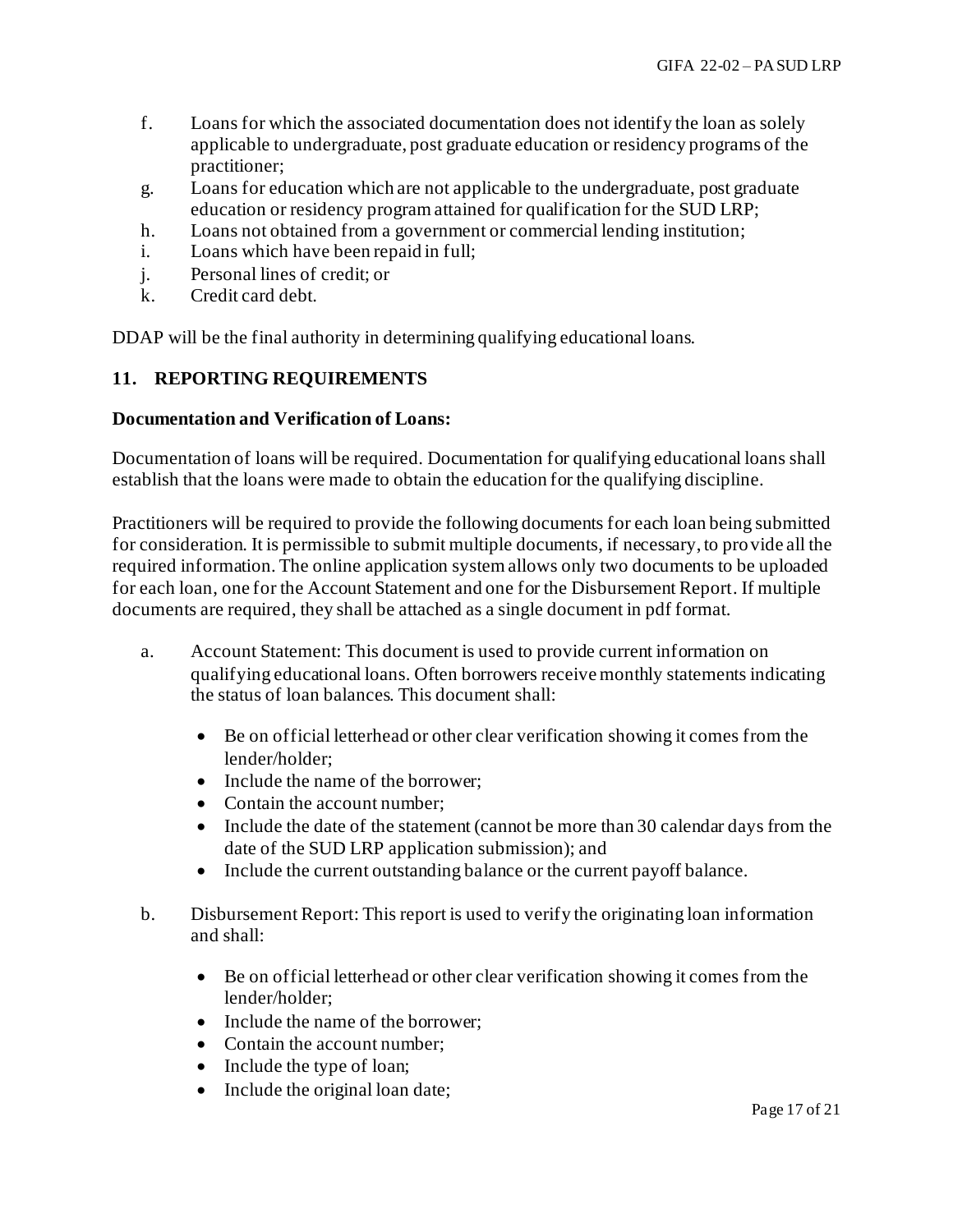- f. Loans for which the associated documentation does not identify the loan as solely applicable to undergraduate, post graduate education or residency programs of the practitioner;
- g. Loans for education which are not applicable to the undergraduate, post graduate education or residency program attained for qualification for the SUD LRP;
- h. Loans not obtained from a government or commercial lending institution;
- i. Loans which have been repaid in full;
- j. Personal lines of credit; or
- k. Credit card debt.

DDAP will be the final authority in determining qualifying educational loans.

## **11. REPORTING REQUIREMENTS**

#### **Documentation and Verification of Loans:**

Documentation of loans will be required. Documentation for qualifying educational loans shall establish that the loans were made to obtain the education for the qualifying discipline.

Practitioners will be required to provide the following documents for each loan being submitted for consideration. It is permissible to submit multiple documents, if necessary, to provide all the required information. The online application system allows only two documents to be uploaded for each loan, one for the Account Statement and one for the Disbursement Report. If multiple documents are required, they shall be attached as a single document in pdf format.

- a. Account Statement: This document is used to provide current information on qualifying educational loans. Often borrowers receive monthly statements indicating the status of loan balances. This document shall:
	- Be on official letterhead or other clear verification showing it comes from the lender/holder;
	- Include the name of the borrower:
	- Contain the account number;
	- Include the date of the statement (cannot be more than 30 calendar days from the date of the SUD LRP application submission); and
	- Include the current outstanding balance or the current payoff balance.
- b. Disbursement Report: This report is used to verify the originating loan information and shall:
	- Be on official letterhead or other clear verification showing it comes from the lender/holder;
	- Include the name of the borrower:
	- Contain the account number;
	- Include the type of loan;
	- Include the original loan date;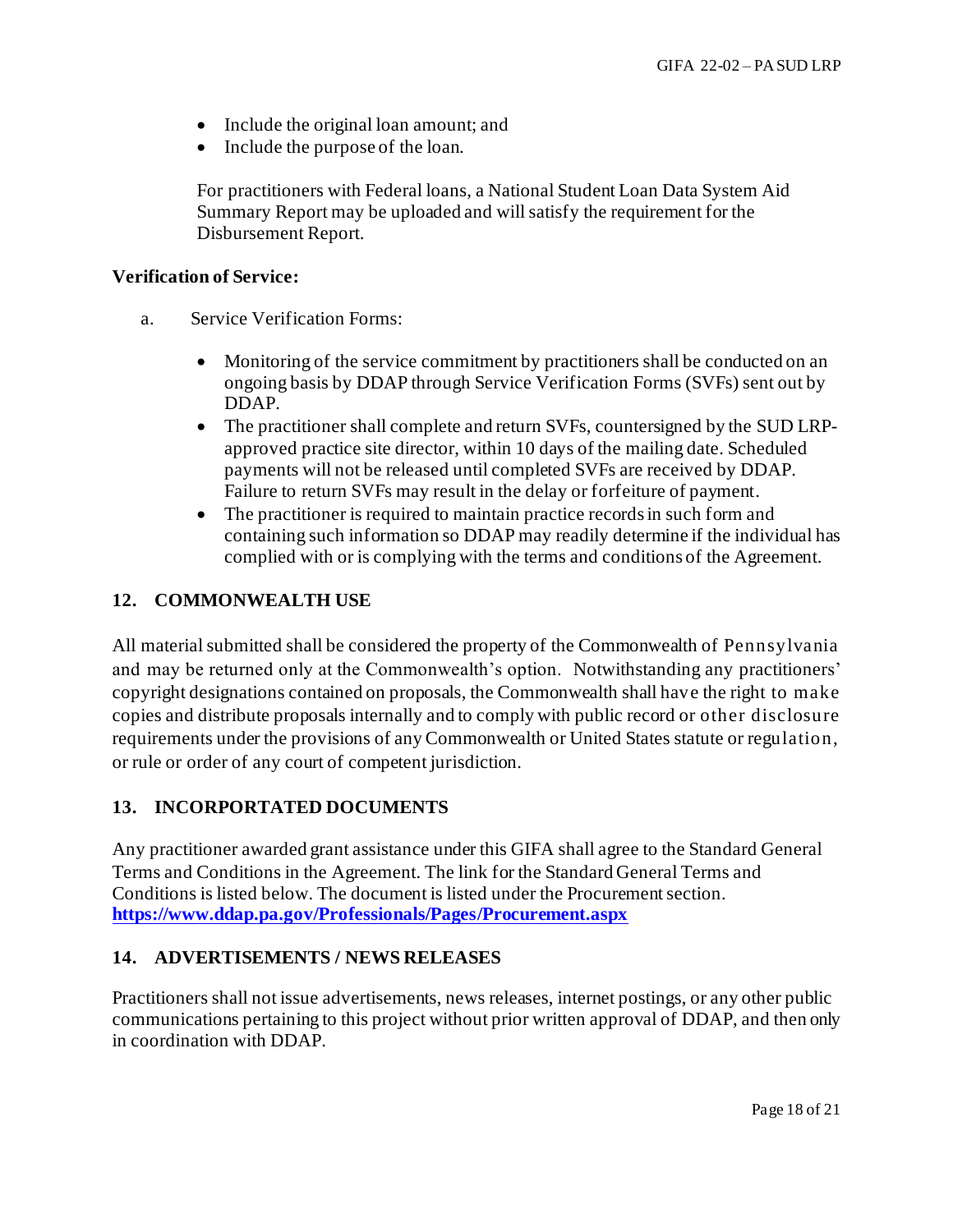- Include the original loan amount; and
- Include the purpose of the loan.

For practitioners with Federal loans, a National Student Loan Data System Aid Summary Report may be uploaded and will satisfy the requirement for the Disbursement Report.

#### **Verification of Service:**

- a. Service Verification Forms:
	- Monitoring of the service commitment by practitioners shall be conducted on an ongoing basis by DDAP through Service Verification Forms (SVFs) sent out by DDAP.
	- The practitioner shall complete and return SVFs, countersigned by the SUD LRPapproved practice site director, within 10 days of the mailing date. Scheduled payments will not be released until completed SVFs are received by DDAP. Failure to return SVFs may result in the delay or forfeiture of payment.
	- The practitioner is required to maintain practice records in such form and containing such information so DDAP may readily determine if the individual has complied with or is complying with the terms and conditions of the Agreement.

## **12. COMMONWEALTH USE**

All material submitted shall be considered the property of the Commonwealth of Pennsylvania and may be returned only at the Commonwealth's option. Notwithstanding any practitioners' copyright designations contained on proposals, the Commonwealth shall have the right to make copies and distribute proposals internally and to comply with public record or other disclosure requirements under the provisions of any Commonwealth or United States statute or regulation, or rule or order of any court of competent jurisdiction.

### **13. INCORPORTATED DOCUMENTS**

Any practitioner awarded grant assistance under this GIFA shall agree to the Standard General Terms and Conditions in the Agreement. The link for the Standard General Terms and Conditions is listed below. The document is listed under the Procurement section. **<https://www.ddap.pa.gov/Professionals/Pages/Procurement.aspx>**

### **14. ADVERTISEMENTS / NEWS RELEASES**

Practitioners shall not issue advertisements, news releases, internet postings, or any other public communications pertaining to this project without prior written approval of DDAP, and then only in coordination with DDAP.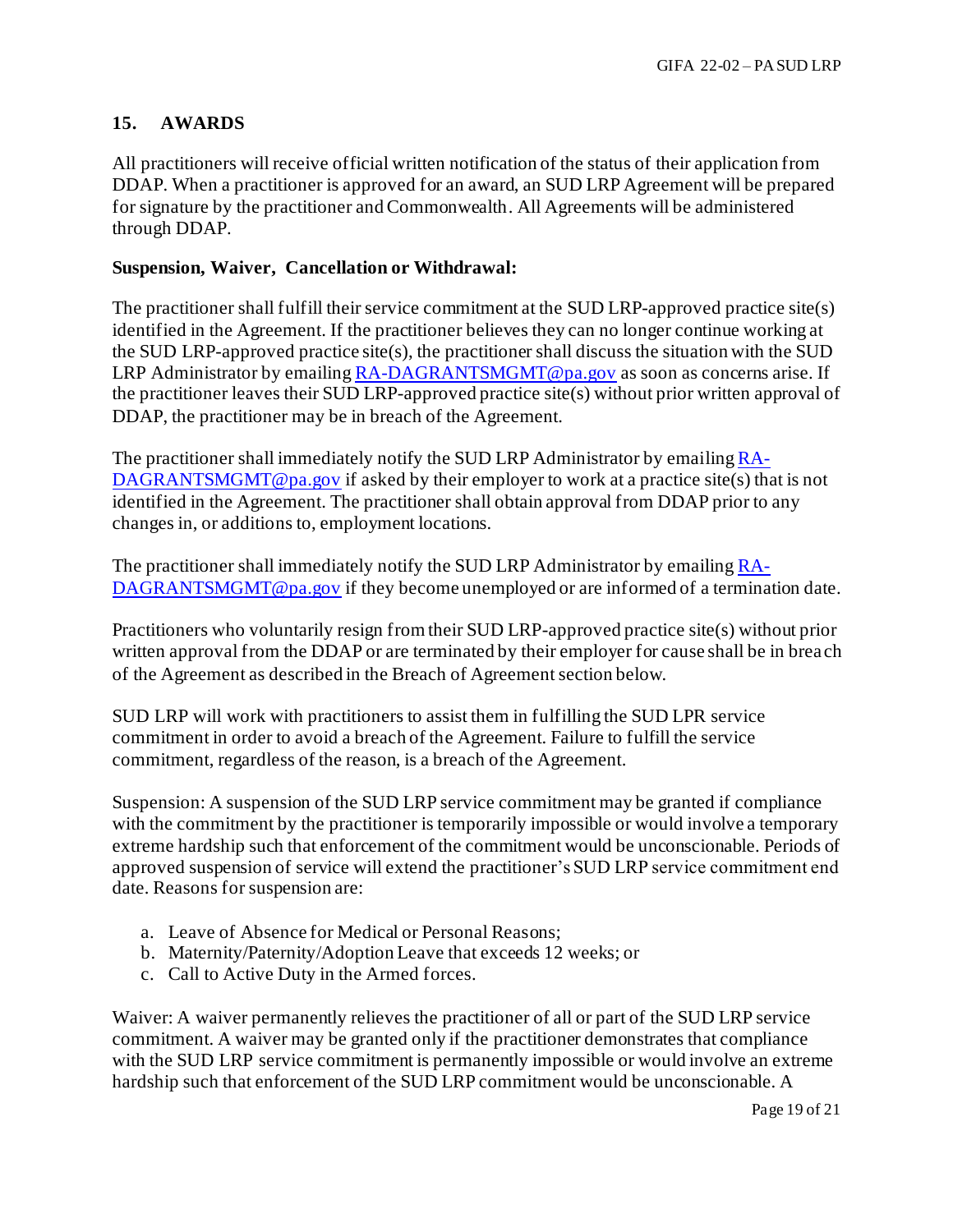## **15. AWARDS**

All practitioners will receive official written notification of the status of their application from DDAP. When a practitioner is approved for an award, an SUD LRP Agreement will be prepared for signature by the practitioner and Commonwealth. All Agreements will be administered through DDAP.

#### **Suspension, Waiver, Cancellation or Withdrawal:**

The practitioner shall fulfill their service commitment at the SUD LRP-approved practice site(s) identified in the Agreement. If the practitioner believes they can no longer continue working at the SUD LRP-approved practice site(s), the practitioner shall discuss the situation with the SUD LRP Administrator by emailin[g RA-DAGRANTSMGMT@pa.gov](mailto:RA-DAGRANTSMGMT@pa.gov) as soon as concerns arise. If the practitioner leaves their SUD LRP-approved practice site(s) without prior written approval of DDAP, the practitioner may be in breach of the Agreement.

The practitioner shall immediately notify the SUD LRP Administrator by emailin[g RA-](mailto:RA-DAGRANTSMGMT@pa.gov)[DAGRANTSMGMT@pa.gov](mailto:RA-DAGRANTSMGMT@pa.gov) if asked by their employer to work at a practice site(s) that is not identified in the Agreement. The practitioner shall obtain approval from DDAP prior to any changes in, or additions to, employment locations.

The practitioner shall immediately notify the SUD LRP Administrator by emailin[g RA-](mailto:RA-DAGRANTSMGMT@pa.gov)[DAGRANTSMGMT@pa.gov](mailto:RA-DAGRANTSMGMT@pa.gov) if they become unemployed or are informed of a termination date.

Practitioners who voluntarily resign from their SUD LRP-approved practice site(s) without prior written approval from the DDAP or are terminated by their employer for cause shall be in breach of the Agreement as described in the Breach of Agreement section below.

SUD LRP will work with practitioners to assist them in fulfilling the SUD LPR service commitment in order to avoid a breach of the Agreement. Failure to fulfill the service commitment, regardless of the reason, is a breach of the Agreement.

Suspension: A suspension of the SUD LRP service commitment may be granted if compliance with the commitment by the practitioner is temporarily impossible or would involve a temporary extreme hardship such that enforcement of the commitment would be unconscionable. Periods of approved suspension of service will extend the practitioner's SUD LRP service commitment end date. Reasons for suspension are:

- a. Leave of Absence for Medical or Personal Reasons;
- b. Maternity/Paternity/Adoption Leave that exceeds 12 weeks; or
- c. Call to Active Duty in the Armed forces.

Waiver: A waiver permanently relieves the practitioner of all or part of the SUD LRP service commitment. A waiver may be granted only if the practitioner demonstrates that compliance with the SUD LRP service commitment is permanently impossible or would involve an extreme hardship such that enforcement of the SUD LRP commitment would be unconscionable. A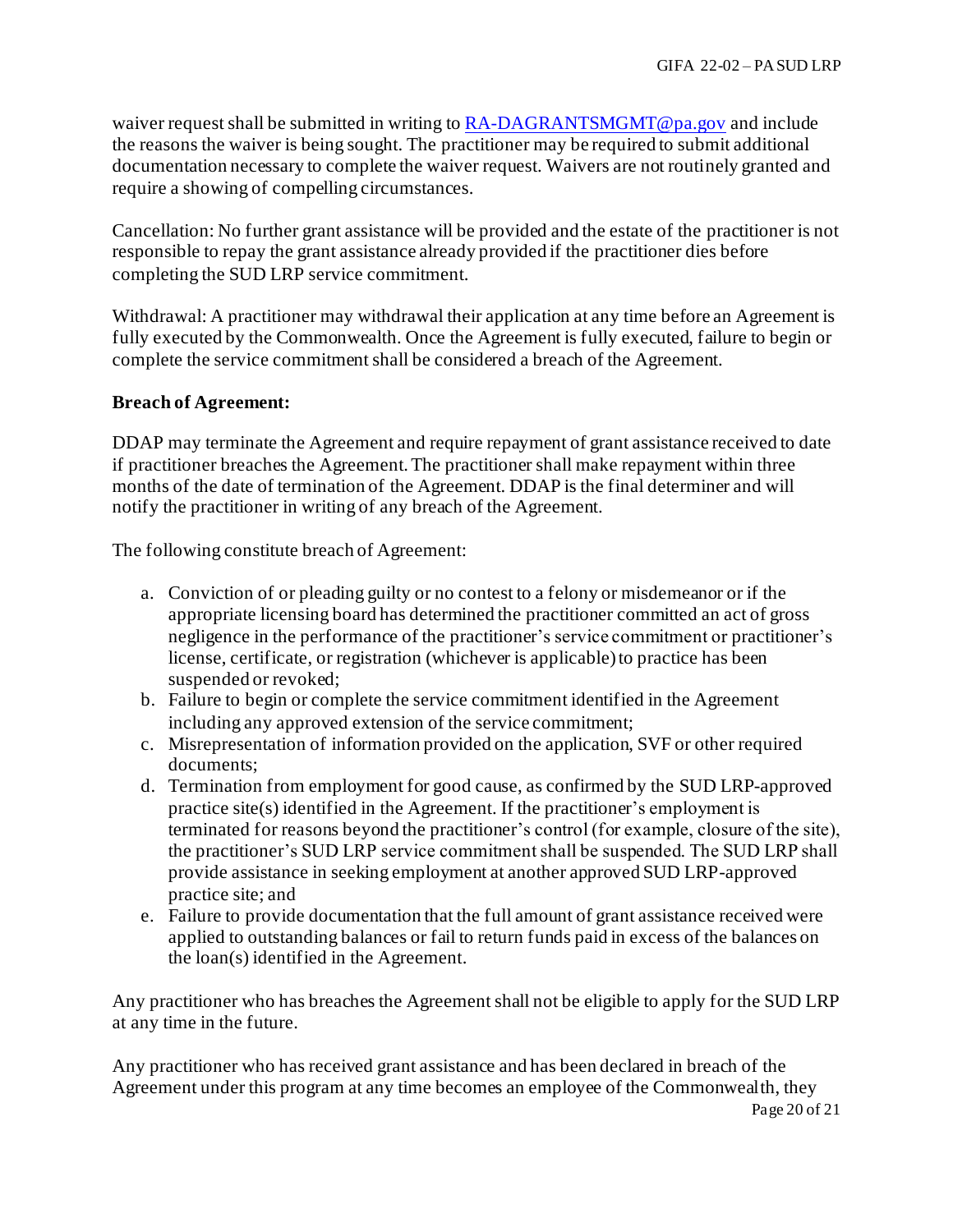waiver request shall be submitted in writing to  $RA$ -DAGRANTSMGMT@pa.gov and include the reasons the waiver is being sought. The practitioner may be required to submit additional documentation necessary to complete the waiver request. Waivers are not routinely granted and require a showing of compelling circumstances.

Cancellation: No further grant assistance will be provided and the estate of the practitioner is not responsible to repay the grant assistance already provided if the practitioner dies before completing the SUD LRP service commitment.

Withdrawal: A practitioner may withdrawal their application at any time before an Agreement is fully executed by the Commonwealth. Once the Agreement is fully executed, failure to begin or complete the service commitment shall be considered a breach of the Agreement.

## **Breach of Agreement:**

DDAP may terminate the Agreement and require repayment of grant assistance received to date if practitioner breaches the Agreement. The practitioner shall make repayment within three months of the date of termination of the Agreement. DDAP is the final determiner and will notify the practitioner in writing of any breach of the Agreement.

The following constitute breach of Agreement:

- a. Conviction of or pleading guilty or no contest to a felony or misdemeanor or if the appropriate licensing board has determined the practitioner committed an act of gross negligence in the performance of the practitioner's service commitment or practitioner's license, certificate, or registration (whichever is applicable) to practice has been suspended or revoked;
- b. Failure to begin or complete the service commitment identified in the Agreement including any approved extension of the service commitment;
- c. Misrepresentation of information provided on the application, SVF or other required documents;
- d. Termination from employment for good cause, as confirmed by the SUD LRP-approved practice site(s) identified in the Agreement. If the practitioner's employment is terminated for reasons beyond the practitioner's control (for example, closure of the site), the practitioner's SUD LRP service commitment shall be suspended. The SUD LRP shall provide assistance in seeking employment at another approved SUD LRP-approved practice site; and
- e. Failure to provide documentation that the full amount of grant assistance received were applied to outstanding balances or fail to return funds paid in excess of the balances on the loan(s) identified in the Agreement.

Any practitioner who has breaches the Agreement shall not be eligible to apply for the SUD LRP at any time in the future.

Any practitioner who has received grant assistance and has been declared in breach of the Agreement under this program at any time becomes an employee of the Commonwealth, they